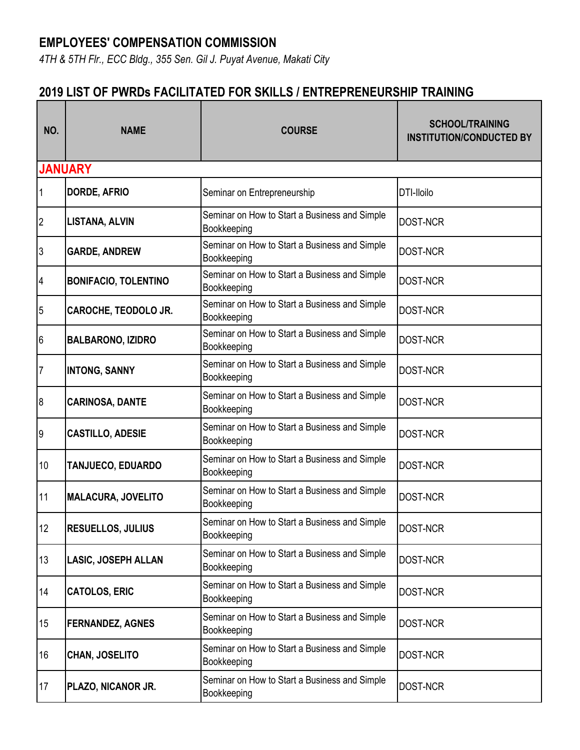## **EMPLOYEES' COMPENSATION COMMISSION**

*4TH & 5TH Flr., ECC Bldg., 355 Sen. Gil J. Puyat Avenue, Makati City*

## **2019 LIST OF PWRDs FACILITATED FOR SKILLS / ENTREPRENEURSHIP TRAINING**

| NO.              | <b>NAME</b>                 | <b>COURSE</b>                                                | <b>SCHOOL/TRAINING</b><br><b>INSTITUTION/CONDUCTED BY</b> |
|------------------|-----------------------------|--------------------------------------------------------------|-----------------------------------------------------------|
|                  | <b>JANUARY</b>              |                                                              |                                                           |
| 1                | <b>DORDE, AFRIO</b>         | Seminar on Entrepreneurship                                  | DTI-Iloilo                                                |
| $\overline{2}$   | <b>LISTANA, ALVIN</b>       | Seminar on How to Start a Business and Simple<br>Bookkeeping | <b>DOST-NCR</b>                                           |
| 3                | <b>GARDE, ANDREW</b>        | Seminar on How to Start a Business and Simple<br>Bookkeeping | <b>DOST-NCR</b>                                           |
| $\overline{4}$   | <b>BONIFACIO, TOLENTINO</b> | Seminar on How to Start a Business and Simple<br>Bookkeeping | DOST-NCR                                                  |
| 5                | <b>CAROCHE, TEODOLO JR.</b> | Seminar on How to Start a Business and Simple<br>Bookkeeping | <b>DOST-NCR</b>                                           |
| 6                | <b>BALBARONO, IZIDRO</b>    | Seminar on How to Start a Business and Simple<br>Bookkeeping | <b>DOST-NCR</b>                                           |
| $\overline{7}$   | <b>INTONG, SANNY</b>        | Seminar on How to Start a Business and Simple<br>Bookkeeping | <b>DOST-NCR</b>                                           |
| $\boldsymbol{8}$ | <b>CARINOSA, DANTE</b>      | Seminar on How to Start a Business and Simple<br>Bookkeeping | <b>DOST-NCR</b>                                           |
| 9                | <b>CASTILLO, ADESIE</b>     | Seminar on How to Start a Business and Simple<br>Bookkeeping | <b>DOST-NCR</b>                                           |
| 10               | <b>TANJUECO, EDUARDO</b>    | Seminar on How to Start a Business and Simple<br>Bookkeeping | DOST-NCR                                                  |
| 11               | <b>MALACURA, JOVELITO</b>   | Seminar on How to Start a Business and Simple<br>Bookkeeping | <b>DOST-NCR</b>                                           |
| 12               | <b>RESUELLOS, JULIUS</b>    | Seminar on How to Start a Business and Simple<br>Bookkeeping | DOST-NCR                                                  |
| 13               | <b>LASIC, JOSEPH ALLAN</b>  | Seminar on How to Start a Business and Simple<br>Bookkeeping | <b>DOST-NCR</b>                                           |
| 14               | <b>CATOLOS, ERIC</b>        | Seminar on How to Start a Business and Simple<br>Bookkeeping | <b>DOST-NCR</b>                                           |
| 15               | <b>FERNANDEZ, AGNES</b>     | Seminar on How to Start a Business and Simple<br>Bookkeeping | <b>DOST-NCR</b>                                           |
| 16               | <b>CHAN, JOSELITO</b>       | Seminar on How to Start a Business and Simple<br>Bookkeeping | DOST-NCR                                                  |
| 17               | PLAZO, NICANOR JR.          | Seminar on How to Start a Business and Simple<br>Bookkeeping | DOST-NCR                                                  |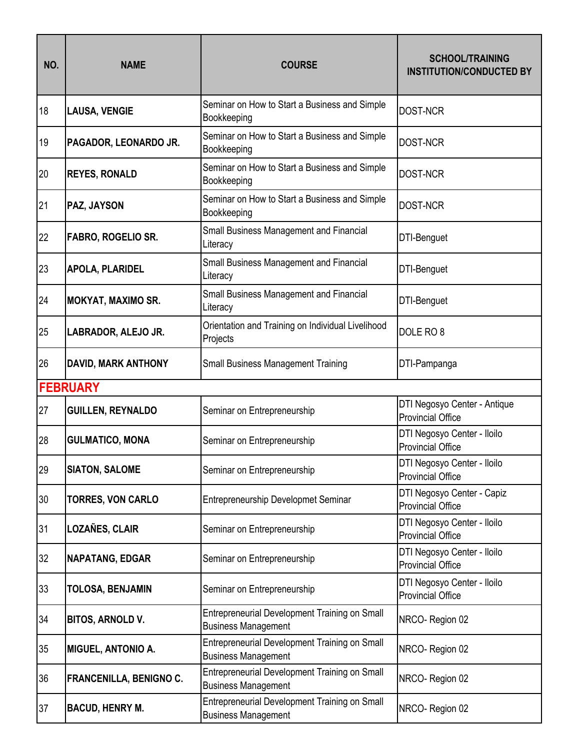| NO. | <b>NAME</b>                | <b>COURSE</b>                                                               | <b>SCHOOL/TRAINING</b><br><b>INSTITUTION/CONDUCTED BY</b> |
|-----|----------------------------|-----------------------------------------------------------------------------|-----------------------------------------------------------|
| 18  | <b>LAUSA, VENGIE</b>       | Seminar on How to Start a Business and Simple<br>Bookkeeping                | <b>DOST-NCR</b>                                           |
| 19  | PAGADOR, LEONARDO JR.      | Seminar on How to Start a Business and Simple<br>Bookkeeping                | DOST-NCR                                                  |
| 20  | <b>REYES, RONALD</b>       | Seminar on How to Start a Business and Simple<br>Bookkeeping                | <b>DOST-NCR</b>                                           |
| 21  | PAZ, JAYSON                | Seminar on How to Start a Business and Simple<br>Bookkeeping                | <b>DOST-NCR</b>                                           |
| 22  | FABRO, ROGELIO SR.         | Small Business Management and Financial<br>Literacy                         | DTI-Benguet                                               |
| 23  | <b>APOLA, PLARIDEL</b>     | Small Business Management and Financial<br>Literacy                         | DTI-Benguet                                               |
| 24  | <b>MOKYAT, MAXIMO SR.</b>  | Small Business Management and Financial<br>Literacy                         | DTI-Benguet                                               |
| 25  | LABRADOR, ALEJO JR.        | Orientation and Training on Individual Livelihood<br>Projects               | DOLE RO <sub>8</sub>                                      |
| 26  | <b>DAVID, MARK ANTHONY</b> | <b>Small Business Management Training</b>                                   | DTI-Pampanga                                              |
|     | <b>FEBRUARY</b>            |                                                                             |                                                           |
|     |                            |                                                                             |                                                           |
| 27  | <b>GUILLEN, REYNALDO</b>   | Seminar on Entrepreneurship                                                 | DTI Negosyo Center - Antique<br><b>Provincial Office</b>  |
| 28  | <b>GULMATICO, MONA</b>     | Seminar on Entrepreneurship                                                 | DTI Negosyo Center - Iloilo<br><b>Provincial Office</b>   |
| 29  | <b>SIATON, SALOME</b>      | Seminar on Entrepreneurship                                                 | DTI Negosyo Center - Iloilo<br><b>Provincial Office</b>   |
| 30  | <b>TORRES, VON CARLO</b>   | <b>Entrepreneurship Developmet Seminar</b>                                  | DTI Negosyo Center - Capiz<br><b>Provincial Office</b>    |
| 31  | LOZAÑES, CLAIR             | Seminar on Entrepreneurship                                                 | DTI Negosyo Center - Iloilo<br><b>Provincial Office</b>   |
| 32  | <b>NAPATANG, EDGAR</b>     | Seminar on Entrepreneurship                                                 | DTI Negosyo Center - Iloilo<br><b>Provincial Office</b>   |
| 33  | <b>TOLOSA, BENJAMIN</b>    | Seminar on Entrepreneurship                                                 | DTI Negosyo Center - Iloilo<br><b>Provincial Office</b>   |
| 34  | <b>BITOS, ARNOLD V.</b>    | Entrepreneurial Development Training on Small<br><b>Business Management</b> | NRCO-Region 02                                            |
| 35  | <b>MIGUEL, ANTONIO A.</b>  | Entrepreneurial Development Training on Small<br><b>Business Management</b> | NRCO-Region 02                                            |
| 36  | FRANCENILLA, BENIGNO C.    | Entrepreneurial Development Training on Small<br><b>Business Management</b> | NRCO-Region 02                                            |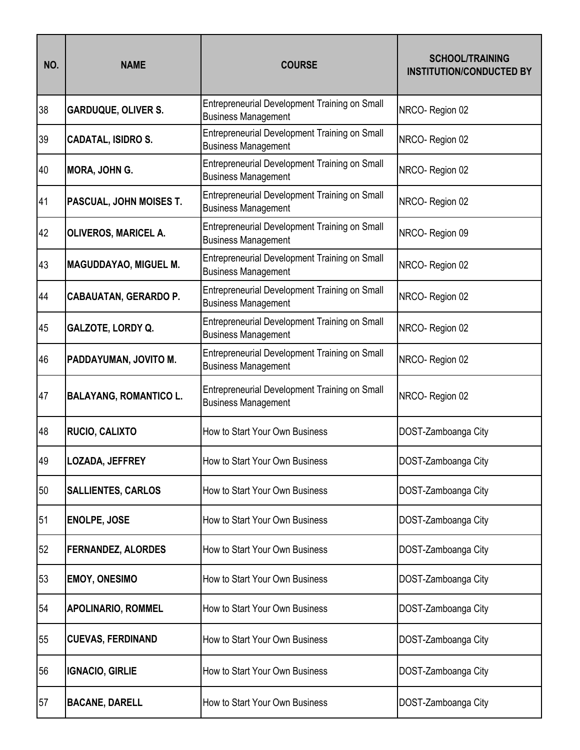| NO. | <b>NAME</b>                   | <b>COURSE</b>                                                               | <b>SCHOOL/TRAINING</b><br><b>INSTITUTION/CONDUCTED BY</b> |
|-----|-------------------------------|-----------------------------------------------------------------------------|-----------------------------------------------------------|
| 38  | <b>GARDUQUE, OLIVER S.</b>    | Entrepreneurial Development Training on Small<br><b>Business Management</b> | NRCO-Region 02                                            |
| 39  | <b>CADATAL, ISIDRO S.</b>     | Entrepreneurial Development Training on Small<br><b>Business Management</b> | NRCO-Region 02                                            |
| 40  | <b>MORA, JOHN G.</b>          | Entrepreneurial Development Training on Small<br><b>Business Management</b> | NRCO-Region 02                                            |
| 41  | PASCUAL, JOHN MOISES T.       | Entrepreneurial Development Training on Small<br><b>Business Management</b> | NRCO-Region 02                                            |
| 42  | <b>OLIVEROS, MARICEL A.</b>   | Entrepreneurial Development Training on Small<br><b>Business Management</b> | NRCO-Region 09                                            |
| 43  | <b>MAGUDDAYAO, MIGUEL M.</b>  | Entrepreneurial Development Training on Small<br><b>Business Management</b> | NRCO-Region 02                                            |
| 44  | <b>CABAUATAN, GERARDO P.</b>  | Entrepreneurial Development Training on Small<br><b>Business Management</b> | NRCO-Region 02                                            |
| 45  | GALZOTE, LORDY Q.             | Entrepreneurial Development Training on Small<br><b>Business Management</b> | NRCO-Region 02                                            |
| 46  | PADDAYUMAN, JOVITO M.         | Entrepreneurial Development Training on Small<br><b>Business Management</b> | NRCO-Region 02                                            |
| 47  | <b>BALAYANG, ROMANTICO L.</b> | Entrepreneurial Development Training on Small<br><b>Business Management</b> | NRCO-Region 02                                            |
| 48  | RUCIO, CALIXTO                | How to Start Your Own Business                                              | DOST-Zamboanga City                                       |
| 49  | LOZADA, JEFFREY               | How to Start Your Own Business                                              | DOST-Zamboanga City                                       |
| 50  | <b>SALLIENTES, CARLOS</b>     | How to Start Your Own Business                                              | DOST-Zamboanga City                                       |
| 51  | ENOLPE, JOSE                  | How to Start Your Own Business                                              | DOST-Zamboanga City                                       |
| 52  | <b>FERNANDEZ, ALORDES</b>     | How to Start Your Own Business                                              | DOST-Zamboanga City                                       |
| 53  | <b>EMOY, ONESIMO</b>          | How to Start Your Own Business                                              | DOST-Zamboanga City                                       |
| 54  | <b>APOLINARIO, ROMMEL</b>     | How to Start Your Own Business                                              | DOST-Zamboanga City                                       |
| 55  | <b>CUEVAS, FERDINAND</b>      | How to Start Your Own Business                                              | DOST-Zamboanga City                                       |
| 56  | <b>IGNACIO, GIRLIE</b>        | How to Start Your Own Business                                              | DOST-Zamboanga City                                       |
| 57  | <b>BACANE, DARELL</b>         | How to Start Your Own Business                                              | DOST-Zamboanga City                                       |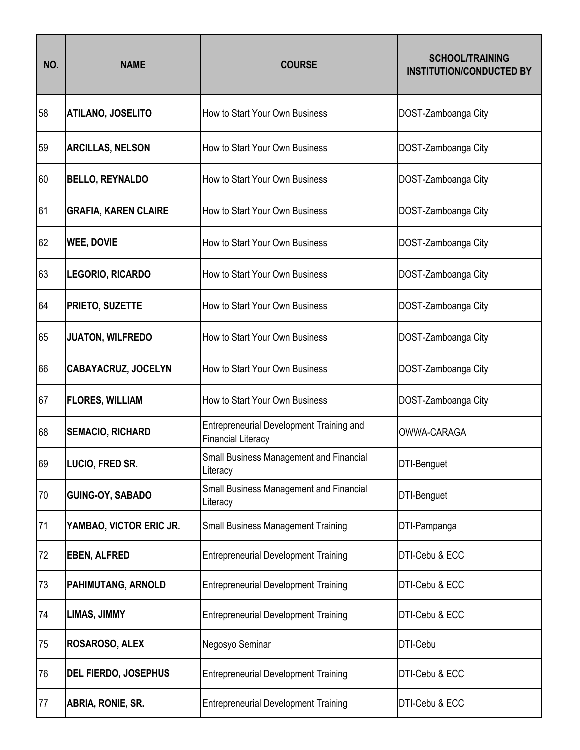| NO. | <b>NAME</b>                 | <b>COURSE</b>                                                                | <b>SCHOOL/TRAINING</b><br><b>INSTITUTION/CONDUCTED BY</b> |
|-----|-----------------------------|------------------------------------------------------------------------------|-----------------------------------------------------------|
| 58  | <b>ATILANO, JOSELITO</b>    | How to Start Your Own Business                                               | DOST-Zamboanga City                                       |
| 59  | <b>ARCILLAS, NELSON</b>     | How to Start Your Own Business                                               | DOST-Zamboanga City                                       |
| 60  | <b>BELLO, REYNALDO</b>      | How to Start Your Own Business                                               | DOST-Zamboanga City                                       |
| 61  | <b>GRAFIA, KAREN CLAIRE</b> | How to Start Your Own Business                                               | DOST-Zamboanga City                                       |
| 62  | <b>WEE, DOVIE</b>           | How to Start Your Own Business                                               | DOST-Zamboanga City                                       |
| 63  | <b>LEGORIO, RICARDO</b>     | How to Start Your Own Business                                               | DOST-Zamboanga City                                       |
| 64  | PRIETO, SUZETTE             | How to Start Your Own Business                                               | DOST-Zamboanga City                                       |
| 65  | <b>JUATON, WILFREDO</b>     | How to Start Your Own Business                                               | DOST-Zamboanga City                                       |
| 66  | <b>CABAYACRUZ, JOCELYN</b>  | How to Start Your Own Business                                               | DOST-Zamboanga City                                       |
| 67  | <b>FLORES, WILLIAM</b>      | How to Start Your Own Business                                               | DOST-Zamboanga City                                       |
| 68  | <b>SEMACIO, RICHARD</b>     | <b>Entrepreneurial Development Training and</b><br><b>Financial Literacy</b> | <b>OWWA-CARAGA</b>                                        |
| 69  | LUCIO, FRED SR.             | <b>Small Business Management and Financial</b><br>Literacy                   | DTI-Benguet                                               |
| 70  | GUING-OY, SABADO            | Small Business Management and Financial<br>Literacy                          | DTI-Benguet                                               |
| 71  | YAMBAO, VICTOR ERIC JR.     | <b>Small Business Management Training</b>                                    | DTI-Pampanga                                              |
| 72  | <b>EBEN, ALFRED</b>         | <b>Entrepreneurial Development Training</b>                                  | DTI-Cebu & ECC                                            |
| 73  | PAHIMUTANG, ARNOLD          | <b>Entrepreneurial Development Training</b>                                  | DTI-Cebu & ECC                                            |
| 74  | LIMAS, JIMMY                | <b>Entrepreneurial Development Training</b>                                  | DTI-Cebu & ECC                                            |
| 75  | ROSAROSO, ALEX              | Negosyo Seminar                                                              | DTI-Cebu                                                  |
| 76  | DEL FIERDO, JOSEPHUS        | <b>Entrepreneurial Development Training</b>                                  | DTI-Cebu & ECC                                            |
| 77  | ABRIA, RONIE, SR.           | <b>Entrepreneurial Development Training</b>                                  | DTI-Cebu & ECC                                            |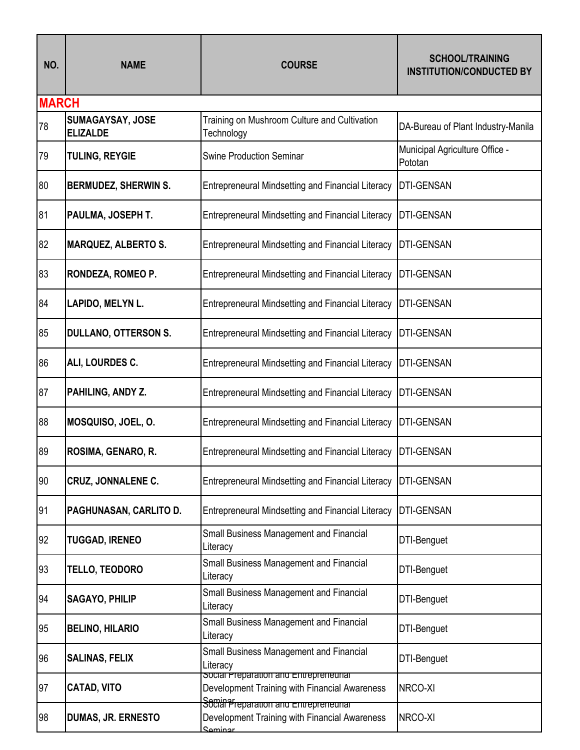| NO.          | <b>NAME</b>                         | <b>COURSE</b>                                                                                      | <b>SCHOOL/TRAINING</b><br><b>INSTITUTION/CONDUCTED BY</b> |
|--------------|-------------------------------------|----------------------------------------------------------------------------------------------------|-----------------------------------------------------------|
| <b>MARCH</b> |                                     |                                                                                                    |                                                           |
| 78           | SUMAGAYSAY, JOSE<br><b>ELIZALDE</b> | Training on Mushroom Culture and Cultivation<br>Technology                                         | DA-Bureau of Plant Industry-Manila                        |
| 79           | <b>TULING, REYGIE</b>               | <b>Swine Production Seminar</b>                                                                    | Municipal Agriculture Office -<br>Pototan                 |
| 80           | <b>BERMUDEZ, SHERWIN S.</b>         | <b>Entrepreneural Mindsetting and Financial Literacy</b>                                           | <b>DTI-GENSAN</b>                                         |
| 81           | PAULMA, JOSEPH T.                   | <b>Entrepreneural Mindsetting and Financial Literacy</b>                                           | <b>DTI-GENSAN</b>                                         |
| 82           | <b>MARQUEZ, ALBERTO S.</b>          | <b>Entrepreneural Mindsetting and Financial Literacy</b>                                           | <b>DTI-GENSAN</b>                                         |
| 83           | RONDEZA, ROMEO P.                   | <b>Entrepreneural Mindsetting and Financial Literacy</b>                                           | <b>DTI-GENSAN</b>                                         |
| 84           | LAPIDO, MELYN L.                    | <b>Entrepreneural Mindsetting and Financial Literacy</b>                                           | <b>DTI-GENSAN</b>                                         |
| 85           | <b>DULLANO, OTTERSON S.</b>         | Entrepreneural Mindsetting and Financial Literacy                                                  | <b>DTI-GENSAN</b>                                         |
| 86           | ALI, LOURDES C.                     | <b>Entrepreneural Mindsetting and Financial Literacy</b>                                           | <b>DTI-GENSAN</b>                                         |
| 87           | PAHILING, ANDY Z.                   | <b>Entrepreneural Mindsetting and Financial Literacy</b>                                           | <b>DTI-GENSAN</b>                                         |
| 88           | MOSQUISO, JOEL, O.                  | <b>Entrepreneural Mindsetting and Financial Literacy</b>                                           | DTI-GENSAN                                                |
| 89           | ROSIMA, GENARO, R.                  | <b>Entrepreneural Mindsetting and Financial Literacy</b>                                           | <b>DTI-GENSAN</b>                                         |
| 90           | <b>CRUZ, JONNALENE C.</b>           | <b>Entrepreneural Mindsetting and Financial Literacy</b>                                           | <b>DTI-GENSAN</b>                                         |
| 91           | PAGHUNASAN, CARLITO D.              | <b>Entrepreneural Mindsetting and Financial Literacy</b>                                           | <b>DTI-GENSAN</b>                                         |
| 92           | <b>TUGGAD, IRENEO</b>               | Small Business Management and Financial<br>Literacy                                                | DTI-Benguet                                               |
| 93           | <b>TELLO, TEODORO</b>               | Small Business Management and Financial<br>Literacy                                                | DTI-Benguet                                               |
| 94           | <b>SAGAYO, PHILIP</b>               | Small Business Management and Financial<br>Literacy                                                | DTI-Benguet                                               |
| 95           | <b>BELINO, HILARIO</b>              | Small Business Management and Financial<br>Literacy                                                | DTI-Benguet                                               |
| 96           | <b>SALINAS, FELIX</b>               | Small Business Management and Financial<br>Literacy                                                | DTI-Benguet                                               |
| 97           | <b>CATAD, VITO</b>                  | social Preparation and Entrepreneurial<br>Development Training with Financial Awareness            | NRCO-XI                                                   |
| 98           | <b>DUMAS, JR. ERNESTO</b>           | Social Preparation and Entrepreneurial<br>Development Training with Financial Awareness<br>Saminar | NRCO-XI                                                   |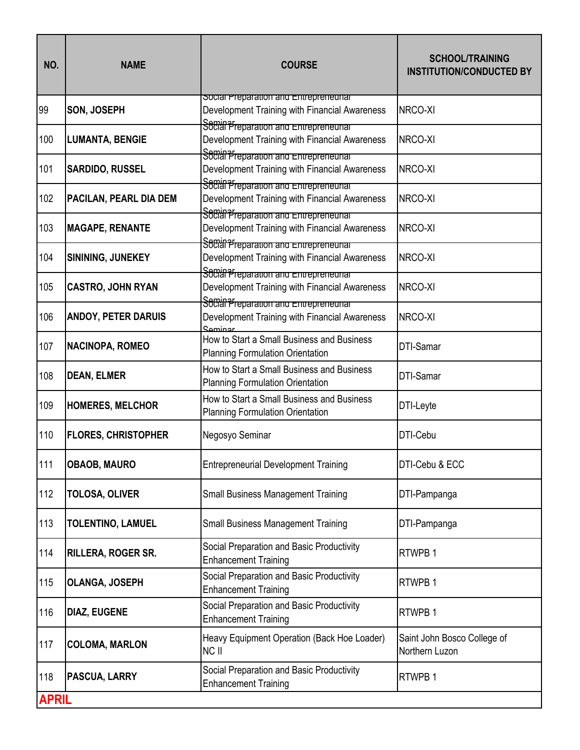| NO.          | <b>NAME</b>                | <b>COURSE</b>                                                                                                                     | <b>SCHOOL/TRAINING</b><br><b>INSTITUTION/CONDUCTED BY</b> |
|--------------|----------------------------|-----------------------------------------------------------------------------------------------------------------------------------|-----------------------------------------------------------|
| 99           | SON, JOSEPH                | social Preparation and Entrepreneurial<br>Development Training with Financial Awareness<br>Social Preparation and Entrepreneurial | NRCO-XI                                                   |
| 100          | <b>LUMANTA, BENGIE</b>     | Development Training with Financial Awareness                                                                                     | NRCO-XI                                                   |
| 101          | <b>SARDIDO, RUSSEL</b>     | Social Preparation and Entrepreneurial<br>Development Training with Financial Awareness<br>Socian Preparation and Entrepreneurial | NRCO-XI                                                   |
| 102          | PACILAN, PEARL DIA DEM     | Development Training with Financial Awareness<br>Social Preparation and Entrepreneurial                                           | NRCO-XI                                                   |
| 103          | <b>MAGAPE, RENANTE</b>     | Development Training with Financial Awareness<br>Social Preparation and Entrepreneurial                                           | NRCO-XI                                                   |
| 104          | SININING, JUNEKEY          | Development Training with Financial Awareness<br>Social Preparation and Entrepreneurial                                           | NRCO-XI                                                   |
| 105          | <b>CASTRO, JOHN RYAN</b>   | Development Training with Financial Awareness<br>Sominar reparation and Entrepreneurial                                           | NRCO-XI                                                   |
| 106          | <b>ANDOY, PETER DARUIS</b> | Development Training with Financial Awareness<br><b>Cominar</b>                                                                   | NRCO-XI                                                   |
| 107          | NACINOPA, ROMEO            | How to Start a Small Business and Business<br><b>Planning Formulation Orientation</b>                                             | DTI-Samar                                                 |
| 108          | <b>DEAN, ELMER</b>         | How to Start a Small Business and Business<br><b>Planning Formulation Orientation</b>                                             | <b>DTI-Samar</b>                                          |
| 109          | <b>HOMERES, MELCHOR</b>    | How to Start a Small Business and Business<br><b>Planning Formulation Orientation</b>                                             | DTI-Leyte                                                 |
| 110          | <b>FLORES, CHRISTOPHER</b> | Negosyo Seminar                                                                                                                   | DTI-Cebu                                                  |
| 111          | <b>OBAOB, MAURO</b>        | <b>Entrepreneurial Development Training</b>                                                                                       | DTI-Cebu & ECC                                            |
| 112          | <b>TOLOSA, OLIVER</b>      | <b>Small Business Management Training</b>                                                                                         | DTI-Pampanga                                              |
| 113          | <b>TOLENTINO, LAMUEL</b>   | <b>Small Business Management Training</b>                                                                                         | DTI-Pampanga                                              |
| 114          | RILLERA, ROGER SR.         | Social Preparation and Basic Productivity<br><b>Enhancement Training</b>                                                          | RTWPB 1                                                   |
| 115          | <b>OLANGA, JOSEPH</b>      | Social Preparation and Basic Productivity<br><b>Enhancement Training</b>                                                          | RTWPB 1                                                   |
| 116          | <b>DIAZ, EUGENE</b>        | Social Preparation and Basic Productivity<br><b>Enhancement Training</b>                                                          | RTWPB 1                                                   |
| 117          | <b>COLOMA, MARLON</b>      | Heavy Equipment Operation (Back Hoe Loader)<br>NC II                                                                              | Saint John Bosco College of<br>Northern Luzon             |
| 118          | PASCUA, LARRY              | Social Preparation and Basic Productivity<br><b>Enhancement Training</b>                                                          | RTWPB 1                                                   |
| <b>APRIL</b> |                            |                                                                                                                                   |                                                           |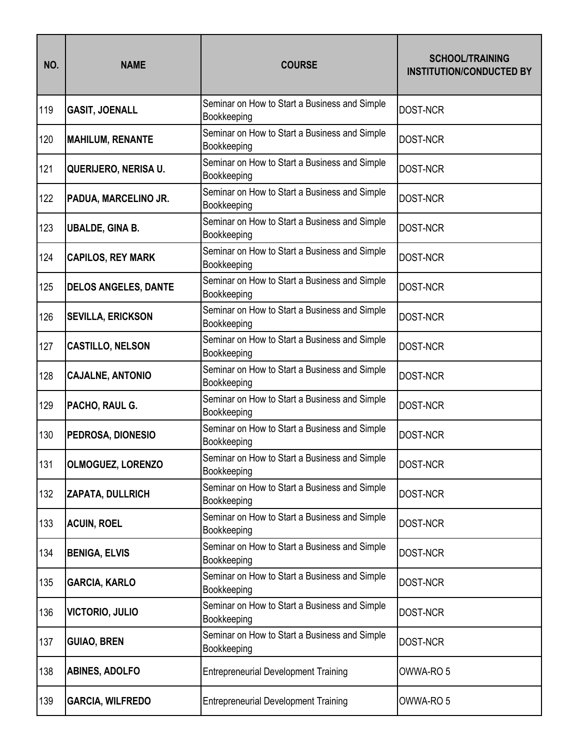| NO. | <b>NAME</b>                 | <b>COURSE</b>                                                | <b>SCHOOL/TRAINING</b><br><b>INSTITUTION/CONDUCTED BY</b> |
|-----|-----------------------------|--------------------------------------------------------------|-----------------------------------------------------------|
| 119 | <b>GASIT, JOENALL</b>       | Seminar on How to Start a Business and Simple<br>Bookkeeping | <b>DOST-NCR</b>                                           |
| 120 | <b>MAHILUM, RENANTE</b>     | Seminar on How to Start a Business and Simple<br>Bookkeeping | <b>DOST-NCR</b>                                           |
| 121 | QUERIJERO, NERISA U.        | Seminar on How to Start a Business and Simple<br>Bookkeeping | <b>DOST-NCR</b>                                           |
| 122 | PADUA, MARCELINO JR.        | Seminar on How to Start a Business and Simple<br>Bookkeeping | <b>DOST-NCR</b>                                           |
| 123 | <b>UBALDE, GINA B.</b>      | Seminar on How to Start a Business and Simple<br>Bookkeeping | <b>DOST-NCR</b>                                           |
| 124 | <b>CAPILOS, REY MARK</b>    | Seminar on How to Start a Business and Simple<br>Bookkeeping | <b>DOST-NCR</b>                                           |
| 125 | <b>DELOS ANGELES, DANTE</b> | Seminar on How to Start a Business and Simple<br>Bookkeeping | <b>DOST-NCR</b>                                           |
| 126 | <b>SEVILLA, ERICKSON</b>    | Seminar on How to Start a Business and Simple<br>Bookkeeping | <b>DOST-NCR</b>                                           |
| 127 | <b>CASTILLO, NELSON</b>     | Seminar on How to Start a Business and Simple<br>Bookkeeping | <b>DOST-NCR</b>                                           |
| 128 | <b>CAJALNE, ANTONIO</b>     | Seminar on How to Start a Business and Simple<br>Bookkeeping | <b>DOST-NCR</b>                                           |
| 129 | PACHO, RAUL G.              | Seminar on How to Start a Business and Simple<br>Bookkeeping | <b>DOST-NCR</b>                                           |
| 130 | PEDROSA, DIONESIO           | Seminar on How to Start a Business and Simple<br>Bookkeeping | <b>DOST-NCR</b>                                           |
| 131 | <b>OLMOGUEZ, LORENZO</b>    | Seminar on How to Start a Business and Simple<br>Bookkeeping | <b>DOST-NCR</b>                                           |
| 132 | ZAPATA, DULLRICH            | Seminar on How to Start a Business and Simple<br>Bookkeeping | DOST-NCR                                                  |
| 133 | <b>ACUIN, ROEL</b>          | Seminar on How to Start a Business and Simple<br>Bookkeeping | DOST-NCR                                                  |
| 134 | <b>BENIGA, ELVIS</b>        | Seminar on How to Start a Business and Simple<br>Bookkeeping | <b>DOST-NCR</b>                                           |
| 135 | <b>GARCIA, KARLO</b>        | Seminar on How to Start a Business and Simple<br>Bookkeeping | <b>DOST-NCR</b>                                           |
| 136 | <b>VICTORIO, JULIO</b>      | Seminar on How to Start a Business and Simple<br>Bookkeeping | DOST-NCR                                                  |
| 137 | <b>GUIAO, BREN</b>          | Seminar on How to Start a Business and Simple<br>Bookkeeping | DOST-NCR                                                  |
| 138 | <b>ABINES, ADOLFO</b>       | <b>Entrepreneurial Development Training</b>                  | OWWA-RO <sub>5</sub>                                      |
| 139 | <b>GARCIA, WILFREDO</b>     | <b>Entrepreneurial Development Training</b>                  | OWWA-RO <sub>5</sub>                                      |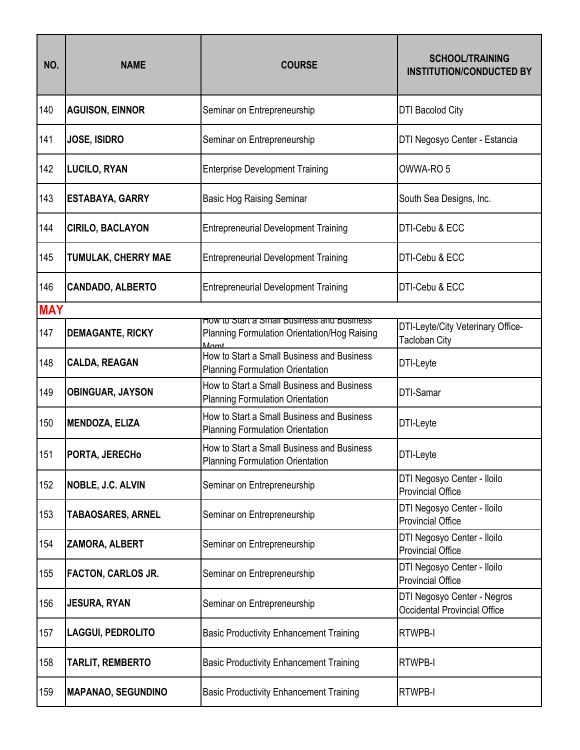| NO.        | <b>NAME</b>                | <b>COURSE</b>                                                                              | <b>SCHOOL/TRAINING</b><br><b>INSTITUTION/CONDUCTED BY</b>          |
|------------|----------------------------|--------------------------------------------------------------------------------------------|--------------------------------------------------------------------|
| 140        | <b>AGUISON, EINNOR</b>     | Seminar on Entrepreneurship                                                                | <b>DTI Bacolod City</b>                                            |
| 141        | JOSE, ISIDRO               | Seminar on Entrepreneurship                                                                | DTI Negosyo Center - Estancia                                      |
| 142        | <b>LUCILO, RYAN</b>        | <b>Enterprise Development Training</b>                                                     | OWWA-RO <sub>5</sub>                                               |
| 143        | <b>ESTABAYA, GARRY</b>     | <b>Basic Hog Raising Seminar</b>                                                           | South Sea Designs, Inc.                                            |
| 144        | <b>CIRILO, BACLAYON</b>    | <b>Entrepreneurial Development Training</b>                                                | DTI-Cebu & ECC                                                     |
| 145        | <b>TUMULAK, CHERRY MAE</b> | <b>Entrepreneurial Development Training</b>                                                | DTI-Cebu & ECC                                                     |
| 146        | <b>CANDADO, ALBERTO</b>    | <b>Entrepreneurial Development Training</b>                                                | DTI-Cebu & ECC                                                     |
| <b>MAY</b> |                            |                                                                                            |                                                                    |
| 147        | <b>DEMAGANTE, RICKY</b>    | How to Start a Small Business and Business<br>Planning Formulation Orientation/Hog Raising | DTI-Leyte/City Veterinary Office-<br><b>Tacloban City</b>          |
| 148        | <b>CALDA, REAGAN</b>       | How to Start a Small Business and Business<br><b>Planning Formulation Orientation</b>      | DTI-Leyte                                                          |
| 149        | <b>OBINGUAR, JAYSON</b>    | How to Start a Small Business and Business<br><b>Planning Formulation Orientation</b>      | DTI-Samar                                                          |
| 150        | <b>MENDOZA, ELIZA</b>      | How to Start a Small Business and Business<br><b>Planning Formulation Orientation</b>      | DTI-Leyte                                                          |
| 151        | PORTA, JERECHo             | How to Start a Small Business and Business<br><b>Planning Formulation Orientation</b>      | DTI-Leyte                                                          |
| 152        | NOBLE, J.C. ALVIN          | Seminar on Entrepreneurship                                                                | DTI Negosyo Center - Iloilo<br><b>Provincial Office</b>            |
| 153        | <b>TABAOSARES, ARNEL</b>   | Seminar on Entrepreneurship                                                                | DTI Negosyo Center - Iloilo<br><b>Provincial Office</b>            |
| 154        | ZAMORA, ALBERT             | Seminar on Entrepreneurship                                                                | DTI Negosyo Center - Iloilo<br><b>Provincial Office</b>            |
| 155        | <b>FACTON, CARLOS JR.</b>  | Seminar on Entrepreneurship                                                                | DTI Negosyo Center - Iloilo<br><b>Provincial Office</b>            |
| 156        | <b>JESURA, RYAN</b>        | Seminar on Entrepreneurship                                                                | DTI Negosyo Center - Negros<br><b>Occidental Provincial Office</b> |
| 157        | <b>LAGGUI, PEDROLITO</b>   | <b>Basic Productivity Enhancement Training</b>                                             | RTWPB-I                                                            |
| 158        | <b>TARLIT, REMBERTO</b>    | <b>Basic Productivity Enhancement Training</b>                                             | <b>RTWPB-I</b>                                                     |
| 159        | <b>MAPANAO, SEGUNDINO</b>  | <b>Basic Productivity Enhancement Training</b>                                             | <b>RTWPB-I</b>                                                     |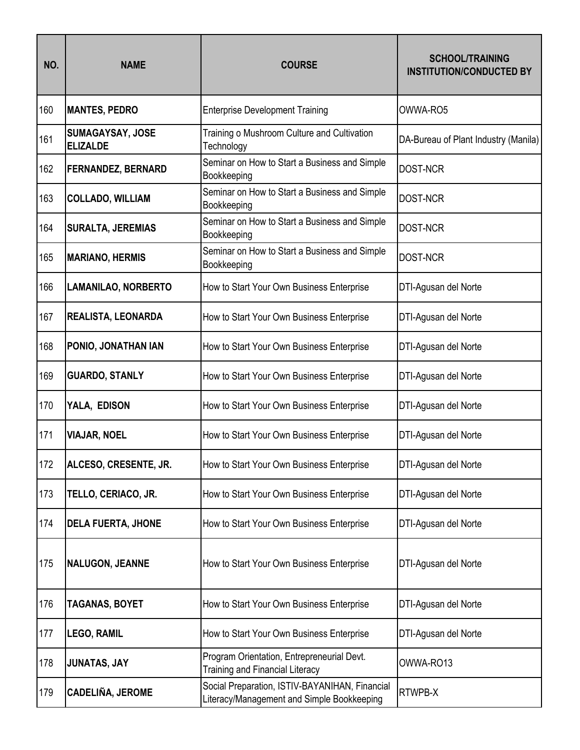| NO. | <b>NAME</b>                         | <b>COURSE</b>                                                                                | <b>SCHOOL/TRAINING</b><br><b>INSTITUTION/CONDUCTED BY</b> |
|-----|-------------------------------------|----------------------------------------------------------------------------------------------|-----------------------------------------------------------|
| 160 | <b>MANTES, PEDRO</b>                | <b>Enterprise Development Training</b>                                                       | OWWA-RO5                                                  |
| 161 | SUMAGAYSAY, JOSE<br><b>ELIZALDE</b> | Training o Mushroom Culture and Cultivation<br>Technology                                    | DA-Bureau of Plant Industry (Manila)                      |
| 162 | <b>FERNANDEZ, BERNARD</b>           | Seminar on How to Start a Business and Simple<br>Bookkeeping                                 | <b>DOST-NCR</b>                                           |
| 163 | <b>COLLADO, WILLIAM</b>             | Seminar on How to Start a Business and Simple<br>Bookkeeping                                 | <b>DOST-NCR</b>                                           |
| 164 | <b>SURALTA, JEREMIAS</b>            | Seminar on How to Start a Business and Simple<br>Bookkeeping                                 | <b>DOST-NCR</b>                                           |
| 165 | <b>MARIANO, HERMIS</b>              | Seminar on How to Start a Business and Simple<br>Bookkeeping                                 | <b>DOST-NCR</b>                                           |
| 166 | <b>LAMANILAO, NORBERTO</b>          | How to Start Your Own Business Enterprise                                                    | DTI-Agusan del Norte                                      |
| 167 | REALISTA, LEONARDA                  | How to Start Your Own Business Enterprise                                                    | DTI-Agusan del Norte                                      |
| 168 | PONIO, JONATHAN IAN                 | How to Start Your Own Business Enterprise                                                    | DTI-Agusan del Norte                                      |
| 169 | <b>GUARDO, STANLY</b>               | How to Start Your Own Business Enterprise                                                    | DTI-Agusan del Norte                                      |
| 170 | YALA, EDISON                        | How to Start Your Own Business Enterprise                                                    | DTI-Agusan del Norte                                      |
| 171 | <b>VIAJAR, NOEL</b>                 | How to Start Your Own Business Enterprise                                                    | DTI-Agusan del Norte                                      |
| 172 | ALCESO, CRESENTE, JR.               | How to Start Your Own Business Enterprise                                                    | DTI-Agusan del Norte                                      |
| 173 | TELLO, CERIACO, JR.                 | How to Start Your Own Business Enterprise                                                    | DTI-Agusan del Norte                                      |
| 174 | <b>DELA FUERTA, JHONE</b>           | How to Start Your Own Business Enterprise                                                    | DTI-Agusan del Norte                                      |
| 175 | <b>NALUGON, JEANNE</b>              | How to Start Your Own Business Enterprise                                                    | DTI-Agusan del Norte                                      |
| 176 | <b>TAGANAS, BOYET</b>               | How to Start Your Own Business Enterprise                                                    | DTI-Agusan del Norte                                      |
| 177 | <b>LEGO, RAMIL</b>                  | How to Start Your Own Business Enterprise                                                    | DTI-Agusan del Norte                                      |
| 178 | JUNATAS, JAY                        | Program Orientation, Entrepreneurial Devt.<br><b>Training and Financial Literacy</b>         | OWWA-RO13                                                 |
| 179 | CADELIÑA, JEROME                    | Social Preparation, ISTIV-BAYANIHAN, Financial<br>Literacy/Management and Simple Bookkeeping | RTWPB-X                                                   |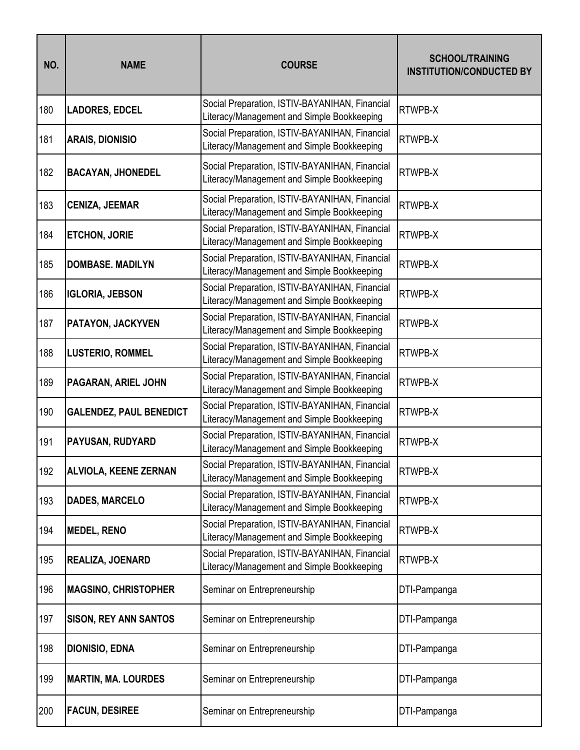| NO. | <b>NAME</b>                    | <b>COURSE</b>                                                                                | <b>SCHOOL/TRAINING</b><br><b>INSTITUTION/CONDUCTED BY</b> |
|-----|--------------------------------|----------------------------------------------------------------------------------------------|-----------------------------------------------------------|
| 180 | <b>LADORES, EDCEL</b>          | Social Preparation, ISTIV-BAYANIHAN, Financial<br>Literacy/Management and Simple Bookkeeping | RTWPB-X                                                   |
| 181 | <b>ARAIS, DIONISIO</b>         | Social Preparation, ISTIV-BAYANIHAN, Financial<br>Literacy/Management and Simple Bookkeeping | RTWPB-X                                                   |
| 182 | <b>BACAYAN, JHONEDEL</b>       | Social Preparation, ISTIV-BAYANIHAN, Financial<br>Literacy/Management and Simple Bookkeeping | RTWPB-X                                                   |
| 183 | <b>CENIZA, JEEMAR</b>          | Social Preparation, ISTIV-BAYANIHAN, Financial<br>Literacy/Management and Simple Bookkeeping | RTWPB-X                                                   |
| 184 | <b>ETCHON, JORIE</b>           | Social Preparation, ISTIV-BAYANIHAN, Financial<br>Literacy/Management and Simple Bookkeeping | RTWPB-X                                                   |
| 185 | <b>DOMBASE, MADILYN</b>        | Social Preparation, ISTIV-BAYANIHAN, Financial<br>Literacy/Management and Simple Bookkeeping | RTWPB-X                                                   |
| 186 | <b>IGLORIA, JEBSON</b>         | Social Preparation, ISTIV-BAYANIHAN, Financial<br>Literacy/Management and Simple Bookkeeping | RTWPB-X                                                   |
| 187 | PATAYON, JACKYVEN              | Social Preparation, ISTIV-BAYANIHAN, Financial<br>Literacy/Management and Simple Bookkeeping | RTWPB-X                                                   |
| 188 | <b>LUSTERIO, ROMMEL</b>        | Social Preparation, ISTIV-BAYANIHAN, Financial<br>Literacy/Management and Simple Bookkeeping | RTWPB-X                                                   |
| 189 | PAGARAN, ARIEL JOHN            | Social Preparation, ISTIV-BAYANIHAN, Financial<br>Literacy/Management and Simple Bookkeeping | RTWPB-X                                                   |
| 190 | <b>GALENDEZ, PAUL BENEDICT</b> | Social Preparation, ISTIV-BAYANIHAN, Financial<br>Literacy/Management and Simple Bookkeeping | RTWPB-X                                                   |
| 191 | PAYUSAN, RUDYARD               | Social Preparation, ISTIV-BAYANIHAN, Financial<br>Literacy/Management and Simple Bookkeeping | RTWPB-X                                                   |
| 192 | <b>ALVIOLA, KEENE ZERNAN</b>   | Social Preparation, ISTIV-BAYANIHAN, Financial<br>Literacy/Management and Simple Bookkeeping | RTWPB-X                                                   |
| 193 | <b>DADES, MARCELO</b>          | Social Preparation, ISTIV-BAYANIHAN, Financial<br>Literacy/Management and Simple Bookkeeping | RTWPB-X                                                   |
| 194 | <b>MEDEL, RENO</b>             | Social Preparation, ISTIV-BAYANIHAN, Financial<br>Literacy/Management and Simple Bookkeeping | <b>RTWPB-X</b>                                            |
| 195 | REALIZA, JOENARD               | Social Preparation, ISTIV-BAYANIHAN, Financial<br>Literacy/Management and Simple Bookkeeping | RTWPB-X                                                   |
| 196 | <b>MAGSINO, CHRISTOPHER</b>    | Seminar on Entrepreneurship                                                                  | DTI-Pampanga                                              |
| 197 | <b>SISON, REY ANN SANTOS</b>   | Seminar on Entrepreneurship                                                                  | DTI-Pampanga                                              |
| 198 | <b>DIONISIO, EDNA</b>          | Seminar on Entrepreneurship                                                                  | DTI-Pampanga                                              |
| 199 | <b>MARTIN, MA. LOURDES</b>     | Seminar on Entrepreneurship                                                                  | DTI-Pampanga                                              |
| 200 | <b>FACUN, DESIREE</b>          | Seminar on Entrepreneurship                                                                  | DTI-Pampanga                                              |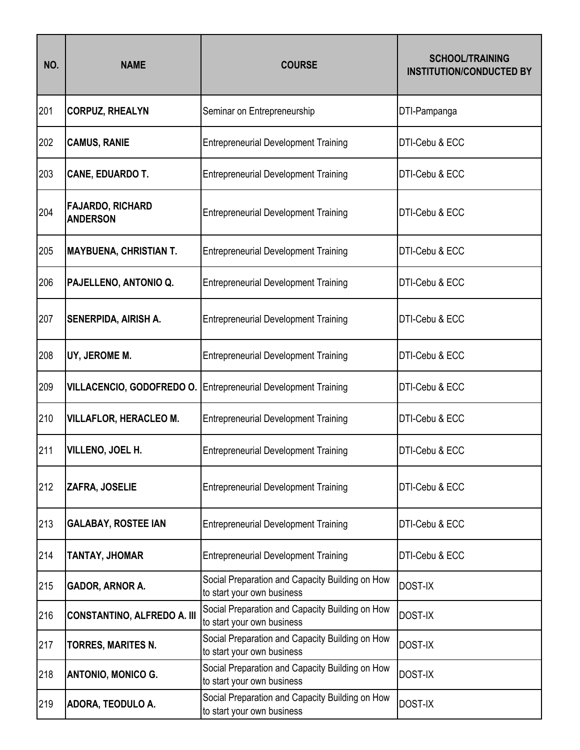| NO. | <b>NAME</b>                                | <b>COURSE</b>                                                                 | <b>SCHOOL/TRAINING</b><br><b>INSTITUTION/CONDUCTED BY</b> |
|-----|--------------------------------------------|-------------------------------------------------------------------------------|-----------------------------------------------------------|
| 201 | <b>CORPUZ, RHEALYN</b>                     | Seminar on Entrepreneurship                                                   | DTI-Pampanga                                              |
| 202 | <b>CAMUS, RANIE</b>                        | <b>Entrepreneurial Development Training</b>                                   | DTI-Cebu & ECC                                            |
| 203 | <b>CANE, EDUARDO T.</b>                    | <b>Entrepreneurial Development Training</b>                                   | DTI-Cebu & ECC                                            |
| 204 | <b>FAJARDO, RICHARD</b><br><b>ANDERSON</b> | <b>Entrepreneurial Development Training</b>                                   | DTI-Cebu & ECC                                            |
| 205 | <b>MAYBUENA, CHRISTIAN T.</b>              | <b>Entrepreneurial Development Training</b>                                   | DTI-Cebu & ECC                                            |
| 206 | PAJELLENO, ANTONIO Q.                      | <b>Entrepreneurial Development Training</b>                                   | DTI-Cebu & ECC                                            |
| 207 | <b>SENERPIDA, AIRISH A.</b>                | <b>Entrepreneurial Development Training</b>                                   | DTI-Cebu & ECC                                            |
| 208 | UY, JEROME M.                              | <b>Entrepreneurial Development Training</b>                                   | DTI-Cebu & ECC                                            |
| 209 |                                            | <b>VILLACENCIO, GODOFREDO O. Entrepreneurial Development Training</b>         | DTI-Cebu & ECC                                            |
| 210 | <b>VILLAFLOR, HERACLEO M.</b>              | <b>Entrepreneurial Development Training</b>                                   | DTI-Cebu & ECC                                            |
| 211 | VILLENO, JOEL H.                           | <b>Entrepreneurial Development Training</b>                                   | DTI-Cebu & ECC                                            |
| 212 | ZAFRA, JOSELIE                             | <b>Entrepreneurial Development Training</b>                                   | DTI-Cebu & ECC                                            |
| 213 | <b>GALABAY, ROSTEE IAN</b>                 | <b>Entrepreneurial Development Training</b>                                   | DTI-Cebu & ECC                                            |
| 214 | TANTAY, JHOMAR                             | <b>Entrepreneurial Development Training</b>                                   | DTI-Cebu & ECC                                            |
| 215 | <b>GADOR, ARNOR A.</b>                     | Social Preparation and Capacity Building on How<br>to start your own business | <b>DOST-IX</b>                                            |
| 216 | <b>CONSTANTINO, ALFREDO A. III</b>         | Social Preparation and Capacity Building on How<br>to start your own business | <b>DOST-IX</b>                                            |
| 217 | TORRES, MARITES N.                         | Social Preparation and Capacity Building on How<br>to start your own business | <b>DOST-IX</b>                                            |
| 218 | <b>ANTONIO, MONICO G.</b>                  | Social Preparation and Capacity Building on How<br>to start your own business | <b>DOST-IX</b>                                            |
| 219 | ADORA, TEODULO A.                          | Social Preparation and Capacity Building on How<br>to start your own business | <b>DOST-IX</b>                                            |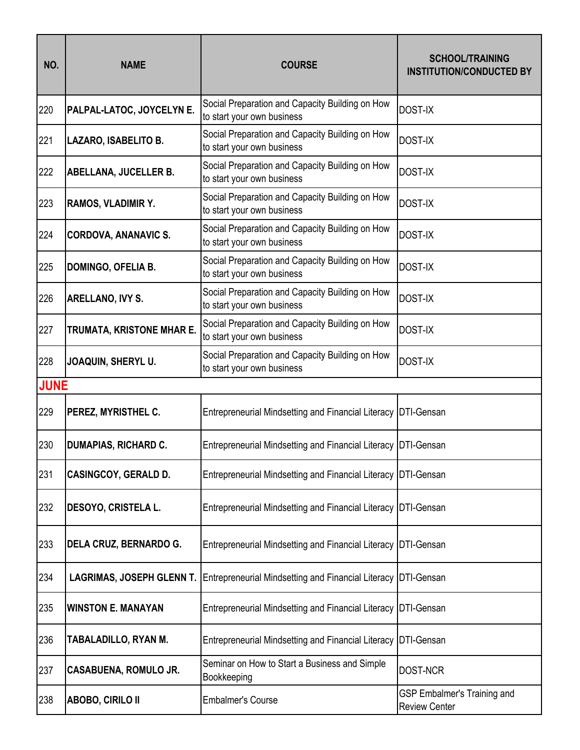| NO.         | <b>NAME</b>                      | <b>COURSE</b>                                                                 | <b>SCHOOL/TRAINING</b><br><b>INSTITUTION/CONDUCTED BY</b>  |
|-------------|----------------------------------|-------------------------------------------------------------------------------|------------------------------------------------------------|
| 220         | PALPAL-LATOC, JOYCELYN E.        | Social Preparation and Capacity Building on How<br>to start your own business | <b>DOST-IX</b>                                             |
| 221         | LAZARO, ISABELITO B.             | Social Preparation and Capacity Building on How<br>to start your own business | <b>DOST-IX</b>                                             |
| 222         | ABELLANA, JUCELLER B.            | Social Preparation and Capacity Building on How<br>to start your own business | <b>DOST-IX</b>                                             |
| 223         | <b>RAMOS, VLADIMIR Y.</b>        | Social Preparation and Capacity Building on How<br>to start your own business | <b>DOST-IX</b>                                             |
| 224         | <b>CORDOVA, ANANAVIC S.</b>      | Social Preparation and Capacity Building on How<br>to start your own business | <b>DOST-IX</b>                                             |
| 225         | <b>DOMINGO, OFELIA B.</b>        | Social Preparation and Capacity Building on How<br>to start your own business | <b>DOST-IX</b>                                             |
| 226         | ARELLANO, IVY S.                 | Social Preparation and Capacity Building on How<br>to start your own business | <b>DOST-IX</b>                                             |
| 227         | TRUMATA, KRISTONE MHAR E.        | Social Preparation and Capacity Building on How<br>to start your own business | <b>DOST-IX</b>                                             |
| 228         | JOAQUIN, SHERYL U.               | Social Preparation and Capacity Building on How<br>to start your own business | <b>DOST-IX</b>                                             |
| <b>JUNE</b> |                                  |                                                                               |                                                            |
| 229         | PEREZ, MYRISTHEL C.              | Entrepreneurial Mindsetting and Financial Literacy DTI-Gensan                 |                                                            |
| 230         | <b>DUMAPIAS, RICHARD C.</b>      | Entrepreneurial Mindsetting and Financial Literacy DTI-Gensan                 |                                                            |
| 231         | <b>CASINGCOY, GERALD D.</b>      | Entrepreneurial Mindsetting and Financial Literacy DTI-Gensan                 |                                                            |
| 232         | DESOYO, CRISTELA L.              | <b>Entrepreneurial Mindsetting and Financial Literacy</b>                     | <b>DTI-Gensan</b>                                          |
| 233         | DELA CRUZ, BERNARDO G.           | <b>Entrepreneurial Mindsetting and Financial Literacy</b>                     | DTI-Gensan                                                 |
| 234         | <b>LAGRIMAS, JOSEPH GLENN T.</b> | <b>Entrepreneurial Mindsetting and Financial Literacy</b>                     | DTI-Gensan                                                 |
| 235         | <b>WINSTON E. MANAYAN</b>        | Entrepreneurial Mindsetting and Financial Literacy DTI-Gensan                 |                                                            |
| 236         | TABALADILLO, RYAN M.             | <b>Entrepreneurial Mindsetting and Financial Literacy</b>                     | DTI-Gensan                                                 |
| 237         | <b>CASABUENA, ROMULO JR.</b>     | Seminar on How to Start a Business and Simple<br>Bookkeeping                  | DOST-NCR                                                   |
| 238         | <b>ABOBO, CIRILO II</b>          | <b>Embalmer's Course</b>                                                      | <b>GSP Embalmer's Training and</b><br><b>Review Center</b> |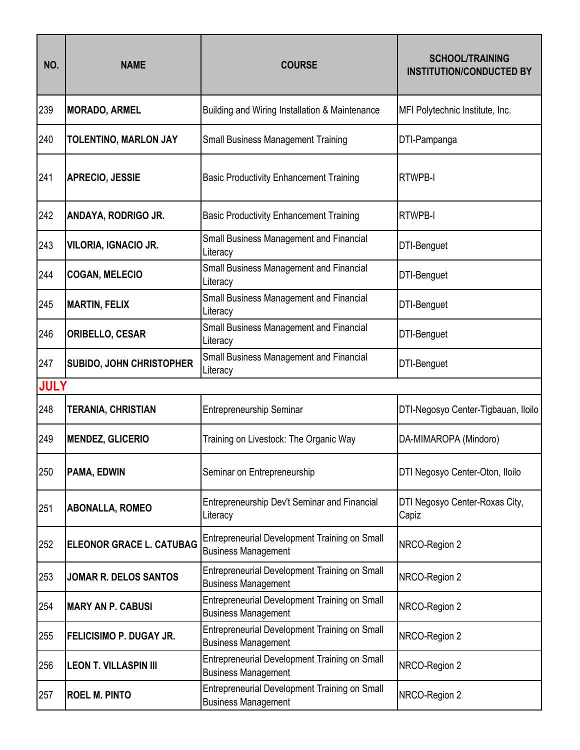| NO.         | <b>NAME</b>                     | <b>COURSE</b>                                                               | <b>SCHOOL/TRAINING</b><br><b>INSTITUTION/CONDUCTED BY</b> |
|-------------|---------------------------------|-----------------------------------------------------------------------------|-----------------------------------------------------------|
| 239         | <b>MORADO, ARMEL</b>            | Building and Wiring Installation & Maintenance                              | MFI Polytechnic Institute, Inc.                           |
| 240         | <b>TOLENTINO, MARLON JAY</b>    | <b>Small Business Management Training</b>                                   | DTI-Pampanga                                              |
| 241         | <b>APRECIO, JESSIE</b>          | <b>Basic Productivity Enhancement Training</b>                              | <b>RTWPB-I</b>                                            |
| 242         | ANDAYA, RODRIGO JR.             | <b>Basic Productivity Enhancement Training</b>                              | <b>RTWPB-I</b>                                            |
| 243         | <b>VILORIA, IGNACIO JR.</b>     | Small Business Management and Financial<br>Literacy                         | DTI-Benguet                                               |
| 244         | <b>COGAN, MELECIO</b>           | Small Business Management and Financial<br>Literacy                         | DTI-Benguet                                               |
| 245         | <b>MARTIN, FELIX</b>            | Small Business Management and Financial<br>Literacy                         | DTI-Benguet                                               |
| 246         | <b>ORIBELLO, CESAR</b>          | Small Business Management and Financial<br>Literacy                         | DTI-Benguet                                               |
| 247         | <b>SUBIDO, JOHN CHRISTOPHER</b> | <b>Small Business Management and Financial</b><br>Literacy                  | DTI-Benguet                                               |
| <b>JULY</b> |                                 |                                                                             |                                                           |
| 248         | <b>TERANIA, CHRISTIAN</b>       | <b>Entrepreneurship Seminar</b>                                             | DTI-Negosyo Center-Tigbauan, Iloilo                       |
| 249         | <b>MENDEZ, GLICERIO</b>         | Training on Livestock: The Organic Way                                      | DA-MIMAROPA (Mindoro)                                     |
| 250         | <b>PAMA, EDWIN</b>              | Seminar on Entrepreneurship                                                 | DTI Negosyo Center-Oton, Iloilo                           |
| 251         | <b>ABONALLA, ROMEO</b>          | Entrepreneurship Dev't Seminar and Financial<br>Literacy                    | DTI Negosyo Center-Roxas City,<br>Capiz                   |
| 252         | <b>ELEONOR GRACE L. CATUBAG</b> | Entrepreneurial Development Training on Small<br><b>Business Management</b> | NRCO-Region 2                                             |
| 253         | <b>JOMAR R. DELOS SANTOS</b>    | Entrepreneurial Development Training on Small<br><b>Business Management</b> | NRCO-Region 2                                             |
| 254         | <b>MARY AN P. CABUSI</b>        | Entrepreneurial Development Training on Small<br><b>Business Management</b> | NRCO-Region 2                                             |
| 255         | FELICISIMO P. DUGAY JR.         | Entrepreneurial Development Training on Small<br><b>Business Management</b> | NRCO-Region 2                                             |
| 256         | <b>LEON T. VILLASPIN III</b>    | Entrepreneurial Development Training on Small<br><b>Business Management</b> | NRCO-Region 2                                             |
| 257         | <b>ROEL M. PINTO</b>            | Entrepreneurial Development Training on Small<br><b>Business Management</b> | NRCO-Region 2                                             |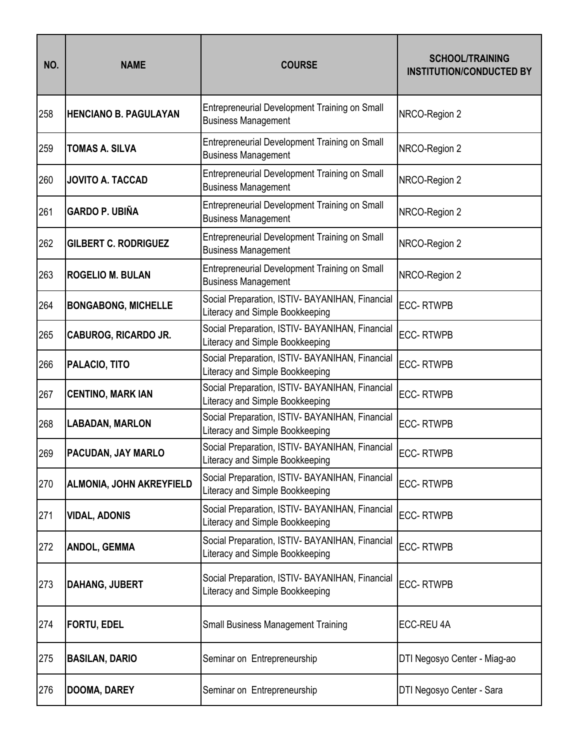| NO. | <b>NAME</b>                     | <b>COURSE</b>                                                                      | <b>SCHOOL/TRAINING</b><br><b>INSTITUTION/CONDUCTED BY</b> |
|-----|---------------------------------|------------------------------------------------------------------------------------|-----------------------------------------------------------|
| 258 | <b>HENCIANO B. PAGULAYAN</b>    | Entrepreneurial Development Training on Small<br><b>Business Management</b>        | NRCO-Region 2                                             |
| 259 | <b>TOMAS A. SILVA</b>           | Entrepreneurial Development Training on Small<br><b>Business Management</b>        | NRCO-Region 2                                             |
| 260 | <b>JOVITO A. TACCAD</b>         | Entrepreneurial Development Training on Small<br><b>Business Management</b>        | NRCO-Region 2                                             |
| 261 | <b>GARDO P. UBIÑA</b>           | Entrepreneurial Development Training on Small<br><b>Business Management</b>        | NRCO-Region 2                                             |
| 262 | <b>GILBERT C. RODRIGUEZ</b>     | Entrepreneurial Development Training on Small<br><b>Business Management</b>        | NRCO-Region 2                                             |
| 263 | <b>ROGELIO M. BULAN</b>         | Entrepreneurial Development Training on Small<br><b>Business Management</b>        | NRCO-Region 2                                             |
| 264 | <b>BONGABONG, MICHELLE</b>      | Social Preparation, ISTIV- BAYANIHAN, Financial<br>Literacy and Simple Bookkeeping | <b>ECC-RTWPB</b>                                          |
| 265 | <b>CABUROG, RICARDO JR.</b>     | Social Preparation, ISTIV- BAYANIHAN, Financial<br>Literacy and Simple Bookkeeping | <b>ECC-RTWPB</b>                                          |
| 266 | PALACIO, TITO                   | Social Preparation, ISTIV- BAYANIHAN, Financial<br>Literacy and Simple Bookkeeping | <b>ECC-RTWPB</b>                                          |
| 267 | <b>CENTINO, MARK IAN</b>        | Social Preparation, ISTIV- BAYANIHAN, Financial<br>Literacy and Simple Bookkeeping | <b>ECC-RTWPB</b>                                          |
| 268 | <b>LABADAN, MARLON</b>          | Social Preparation, ISTIV- BAYANIHAN, Financial<br>Literacy and Simple Bookkeeping | <b>ECC-RTWPB</b>                                          |
| 269 | PACUDAN, JAY MARLO              | Social Preparation, ISTIV- BAYANIHAN, Financial<br>Literacy and Simple Bookkeeping | <b>ECC-RTWPB</b>                                          |
| 270 | <b>ALMONIA, JOHN AKREYFIELD</b> | Social Preparation, ISTIV- BAYANIHAN, Financial<br>Literacy and Simple Bookkeeping | <b>ECC-RTWPB</b>                                          |
| 271 | <b>VIDAL, ADONIS</b>            | Social Preparation, ISTIV- BAYANIHAN, Financial<br>Literacy and Simple Bookkeeping | <b>ECC-RTWPB</b>                                          |
| 272 | <b>ANDOL, GEMMA</b>             | Social Preparation, ISTIV- BAYANIHAN, Financial<br>Literacy and Simple Bookkeeping | <b>ECC-RTWPB</b>                                          |
| 273 | <b>DAHANG, JUBERT</b>           | Social Preparation, ISTIV- BAYANIHAN, Financial<br>Literacy and Simple Bookkeeping | <b>ECC-RTWPB</b>                                          |
| 274 | <b>FORTU, EDEL</b>              | <b>Small Business Management Training</b>                                          | ECC-REU 4A                                                |
| 275 | <b>BASILAN, DARIO</b>           | Seminar on Entrepreneurship                                                        | DTI Negosyo Center - Miag-ao                              |
| 276 | DOOMA, DAREY                    | Seminar on Entrepreneurship                                                        | DTI Negosyo Center - Sara                                 |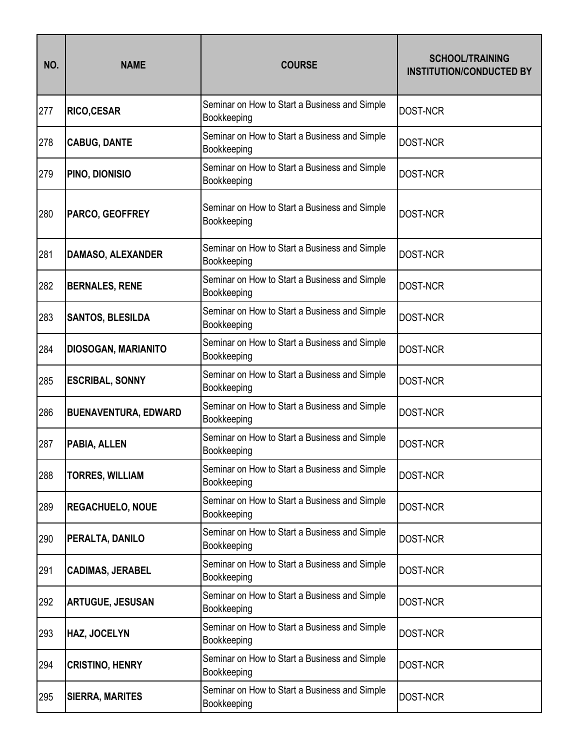| NO. | <b>NAME</b>                 | <b>COURSE</b>                                                | <b>SCHOOL/TRAINING</b><br><b>INSTITUTION/CONDUCTED BY</b> |
|-----|-----------------------------|--------------------------------------------------------------|-----------------------------------------------------------|
| 277 | <b>RICO,CESAR</b>           | Seminar on How to Start a Business and Simple<br>Bookkeeping | <b>DOST-NCR</b>                                           |
| 278 | <b>CABUG, DANTE</b>         | Seminar on How to Start a Business and Simple<br>Bookkeeping | <b>DOST-NCR</b>                                           |
| 279 | <b>PINO, DIONISIO</b>       | Seminar on How to Start a Business and Simple<br>Bookkeeping | <b>DOST-NCR</b>                                           |
| 280 | <b>PARCO, GEOFFREY</b>      | Seminar on How to Start a Business and Simple<br>Bookkeeping | <b>DOST-NCR</b>                                           |
| 281 | <b>DAMASO, ALEXANDER</b>    | Seminar on How to Start a Business and Simple<br>Bookkeeping | <b>DOST-NCR</b>                                           |
| 282 | <b>BERNALES, RENE</b>       | Seminar on How to Start a Business and Simple<br>Bookkeeping | <b>DOST-NCR</b>                                           |
| 283 | <b>SANTOS, BLESILDA</b>     | Seminar on How to Start a Business and Simple<br>Bookkeeping | <b>DOST-NCR</b>                                           |
| 284 | <b>DIOSOGAN, MARIANITO</b>  | Seminar on How to Start a Business and Simple<br>Bookkeeping | <b>DOST-NCR</b>                                           |
| 285 | <b>ESCRIBAL, SONNY</b>      | Seminar on How to Start a Business and Simple<br>Bookkeeping | <b>DOST-NCR</b>                                           |
| 286 | <b>BUENAVENTURA, EDWARD</b> | Seminar on How to Start a Business and Simple<br>Bookkeeping | <b>DOST-NCR</b>                                           |
| 287 | PABIA, ALLEN                | Seminar on How to Start a Business and Simple<br>Bookkeeping | <b>DOST-NCR</b>                                           |
| 288 | <b>TORRES, WILLIAM</b>      | Seminar on How to Start a Business and Simple<br>Bookkeeping | <b>DOST-NCR</b>                                           |
| 289 | <b>REGACHUELO, NOUE</b>     | Seminar on How to Start a Business and Simple<br>Bookkeeping | DOST-NCR                                                  |
| 290 | PERALTA, DANILO             | Seminar on How to Start a Business and Simple<br>Bookkeeping | DOST-NCR                                                  |
| 291 | <b>CADIMAS, JERABEL</b>     | Seminar on How to Start a Business and Simple<br>Bookkeeping | DOST-NCR                                                  |
| 292 | <b>ARTUGUE, JESUSAN</b>     | Seminar on How to Start a Business and Simple<br>Bookkeeping | <b>DOST-NCR</b>                                           |
| 293 | HAZ, JOCELYN                | Seminar on How to Start a Business and Simple<br>Bookkeeping | DOST-NCR                                                  |
| 294 | <b>CRISTINO, HENRY</b>      | Seminar on How to Start a Business and Simple<br>Bookkeeping | DOST-NCR                                                  |
| 295 | <b>SIERRA, MARITES</b>      | Seminar on How to Start a Business and Simple<br>Bookkeeping | DOST-NCR                                                  |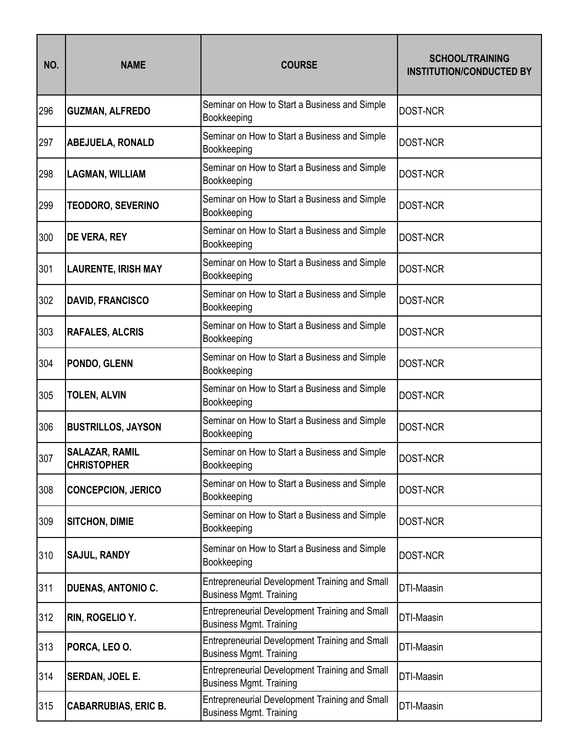| NO. | <b>NAME</b>                                 | <b>COURSE</b>                                                                           | <b>SCHOOL/TRAINING</b><br><b>INSTITUTION/CONDUCTED BY</b> |
|-----|---------------------------------------------|-----------------------------------------------------------------------------------------|-----------------------------------------------------------|
| 296 | <b>GUZMAN, ALFREDO</b>                      | Seminar on How to Start a Business and Simple<br>Bookkeeping                            | <b>DOST-NCR</b>                                           |
| 297 | <b>ABEJUELA, RONALD</b>                     | Seminar on How to Start a Business and Simple<br>Bookkeeping                            | <b>DOST-NCR</b>                                           |
| 298 | <b>LAGMAN, WILLIAM</b>                      | Seminar on How to Start a Business and Simple<br>Bookkeeping                            | <b>DOST-NCR</b>                                           |
| 299 | <b>TEODORO, SEVERINO</b>                    | Seminar on How to Start a Business and Simple<br>Bookkeeping                            | <b>DOST-NCR</b>                                           |
| 300 | <b>DE VERA, REY</b>                         | Seminar on How to Start a Business and Simple<br>Bookkeeping                            | <b>DOST-NCR</b>                                           |
| 301 | <b>LAURENTE, IRISH MAY</b>                  | Seminar on How to Start a Business and Simple<br>Bookkeeping                            | <b>DOST-NCR</b>                                           |
| 302 | <b>DAVID, FRANCISCO</b>                     | Seminar on How to Start a Business and Simple<br>Bookkeeping                            | DOST-NCR                                                  |
| 303 | <b>RAFALES, ALCRIS</b>                      | Seminar on How to Start a Business and Simple<br>Bookkeeping                            | <b>DOST-NCR</b>                                           |
| 304 | PONDO, GLENN                                | Seminar on How to Start a Business and Simple<br>Bookkeeping                            | <b>DOST-NCR</b>                                           |
| 305 | <b>TOLEN, ALVIN</b>                         | Seminar on How to Start a Business and Simple<br>Bookkeeping                            | <b>DOST-NCR</b>                                           |
| 306 | <b>BUSTRILLOS, JAYSON</b>                   | Seminar on How to Start a Business and Simple<br>Bookkeeping                            | DOST-NCR                                                  |
| 307 | <b>SALAZAR, RAMIL</b><br><b>CHRISTOPHER</b> | Seminar on How to Start a Business and Simple<br>Bookkeeping                            | <b>DOST-NCR</b>                                           |
| 308 | <b>CONCEPCION, JERICO</b>                   | Seminar on How to Start a Business and Simple<br>Bookkeeping                            | DOST-NCR                                                  |
| 309 | <b>SITCHON, DIMIE</b>                       | Seminar on How to Start a Business and Simple<br>Bookkeeping                            | DOST-NCR                                                  |
| 310 | <b>SAJUL, RANDY</b>                         | Seminar on How to Start a Business and Simple<br>Bookkeeping                            | DOST-NCR                                                  |
| 311 | <b>DUENAS, ANTONIO C.</b>                   | <b>Entrepreneurial Development Training and Small</b><br><b>Business Mgmt. Training</b> | DTI-Maasin                                                |
| 312 | RIN, ROGELIO Y.                             | <b>Entrepreneurial Development Training and Small</b><br><b>Business Mgmt. Training</b> | DTI-Maasin                                                |
| 313 | PORCA, LEO O.                               | <b>Entrepreneurial Development Training and Small</b><br><b>Business Mgmt. Training</b> | DTI-Maasin                                                |
| 314 | <b>SERDAN, JOEL E.</b>                      | Entrepreneurial Development Training and Small<br><b>Business Mgmt. Training</b>        | DTI-Maasin                                                |
| 315 | <b>CABARRUBIAS, ERIC B.</b>                 | <b>Entrepreneurial Development Training and Small</b><br><b>Business Mgmt. Training</b> | DTI-Maasin                                                |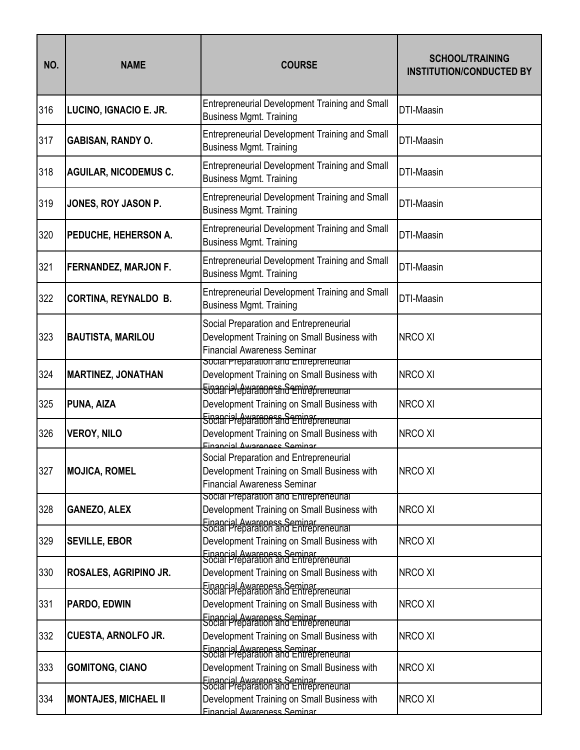| NO. | <b>NAME</b>                  | <b>COURSE</b>                                                                                                                                              | <b>SCHOOL/TRAINING</b><br><b>INSTITUTION/CONDUCTED BY</b> |
|-----|------------------------------|------------------------------------------------------------------------------------------------------------------------------------------------------------|-----------------------------------------------------------|
| 316 | LUCINO, IGNACIO E. JR.       | <b>Entrepreneurial Development Training and Small</b><br><b>Business Mgmt. Training</b>                                                                    | DTI-Maasin                                                |
| 317 | <b>GABISAN, RANDY O.</b>     | <b>Entrepreneurial Development Training and Small</b><br><b>Business Mgmt. Training</b>                                                                    | DTI-Maasin                                                |
| 318 | <b>AGUILAR, NICODEMUS C.</b> | <b>Entrepreneurial Development Training and Small</b><br><b>Business Mgmt. Training</b>                                                                    | DTI-Maasin                                                |
| 319 | JONES, ROY JASON P.          | Entrepreneurial Development Training and Small<br><b>Business Mgmt. Training</b>                                                                           | <b>DTI-Maasin</b>                                         |
| 320 | PEDUCHE, HEHERSON A.         | <b>Entrepreneurial Development Training and Small</b><br><b>Business Mgmt. Training</b>                                                                    | DTI-Maasin                                                |
| 321 | FERNANDEZ, MARJON F.         | <b>Entrepreneurial Development Training and Small</b><br><b>Business Mgmt. Training</b>                                                                    | DTI-Maasin                                                |
| 322 | <b>CORTINA, REYNALDO B.</b>  | <b>Entrepreneurial Development Training and Small</b><br><b>Business Mgmt. Training</b>                                                                    | DTI-Maasin                                                |
| 323 | <b>BAUTISTA, MARILOU</b>     | Social Preparation and Entrepreneurial<br>Development Training on Small Business with<br><b>Financial Awareness Seminar</b>                                | <b>NRCO XI</b>                                            |
| 324 | <b>MARTINEZ, JONATHAN</b>    | social Preparation and Entrepreneurial<br>Development Training on Small Business with                                                                      | <b>NRCO XI</b>                                            |
| 325 | PUNA, AIZA                   | <b>Eingariel Awarnon and Entrepreneurial</b><br>Development Training on Small Business with                                                                | <b>NRCO XI</b>                                            |
| 326 | <b>VEROY, NILO</b>           | Eisaariel Awarnon and Entrepreneurian<br>Development Training on Small Business with<br>Einancial Awarangee Saminar                                        | <b>NRCO XI</b>                                            |
| 327 | <b>MOJICA, ROMEL</b>         | Social Preparation and Entrepreneurial<br>Development Training on Small Business with<br><b>Financial Awareness Seminar</b>                                | NRCO XI                                                   |
| 328 | <b>GANEZO, ALEX</b>          | Social Preparation and Entrepreneurial<br>Development Training on Small Business with                                                                      | <b>NRCO XI</b>                                            |
| 329 | <b>SEVILLE, EBOR</b>         | Financial Awareness Seminar<br>Social Preparation and Entrepreneurial<br>Development Training on Small Business with                                       | NRCO XI                                                   |
| 330 | ROSALES, AGRIPINO JR.        | Financial Awareness Seminar<br>Social Preparation and Entrepreneurial<br>Development Training on Small Business with                                       | NRCO XI                                                   |
| 331 | PARDO, EDWIN                 | Einancial Awareness Seminar<br>Social Preparation and Entrepreneurial<br>Development Training on Small Business with                                       | NRCO XI                                                   |
| 332 | <b>CUESTA, ARNOLFO JR.</b>   | Financial Awareness Seminar<br>Social Preparation and Entrepreneurial<br>Development Training on Small Business with                                       | NRCO XI                                                   |
| 333 | <b>GOMITONG, CIANO</b>       | Einancial Awareness Seminar<br>Social Preparation and Entrepreneurial<br>Development Training on Small Business with                                       | NRCO XI                                                   |
| 334 | <b>MONTAJES, MICHAEL II</b>  | Einancial Awareness Seminar<br>Social Preparation and Entrepreneurial<br>Development Training on Small Business with<br><b>Financial Awareness Seminar</b> | NRCO XI                                                   |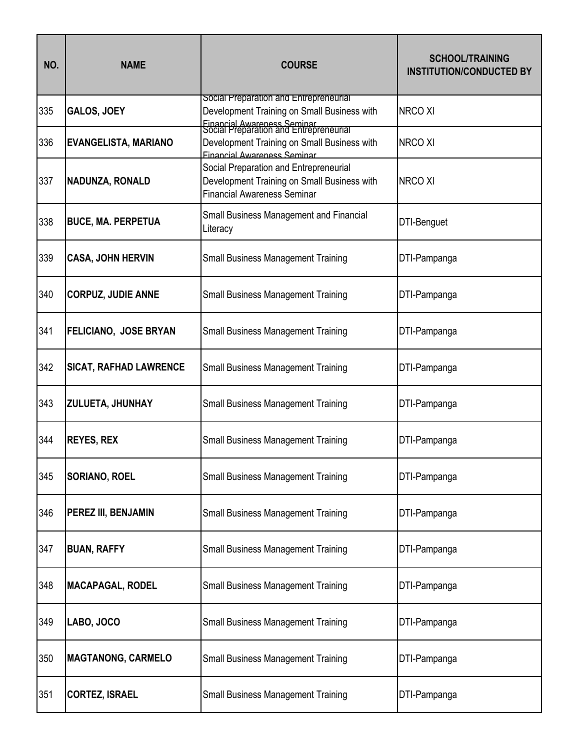| NO. | <b>NAME</b>                   | <b>COURSE</b>                                                                                                                                                  | <b>SCHOOL/TRAINING</b><br><b>INSTITUTION/CONDUCTED BY</b> |
|-----|-------------------------------|----------------------------------------------------------------------------------------------------------------------------------------------------------------|-----------------------------------------------------------|
| 335 | <b>GALOS, JOEY</b>            | Social Preparation and Entrepreneurial<br>Development Training on Small Business with<br>Financial Awareness Seminar<br>Social Preparation and Entrepreneurial | <b>NRCO XI</b>                                            |
| 336 | <b>EVANGELISTA, MARIANO</b>   | Development Training on Small Business with<br>Financial Awareness Seminar                                                                                     | <b>NRCO XI</b>                                            |
| 337 | <b>NADUNZA, RONALD</b>        | Social Preparation and Entrepreneurial<br>Development Training on Small Business with<br><b>Financial Awareness Seminar</b>                                    | <b>NRCO XI</b>                                            |
| 338 | <b>BUCE, MA. PERPETUA</b>     | Small Business Management and Financial<br>Literacy                                                                                                            | DTI-Benguet                                               |
| 339 | <b>CASA, JOHN HERVIN</b>      | <b>Small Business Management Training</b>                                                                                                                      | DTI-Pampanga                                              |
| 340 | <b>CORPUZ, JUDIE ANNE</b>     | <b>Small Business Management Training</b>                                                                                                                      | DTI-Pampanga                                              |
| 341 | <b>FELICIANO, JOSE BRYAN</b>  | <b>Small Business Management Training</b>                                                                                                                      | DTI-Pampanga                                              |
| 342 | <b>SICAT, RAFHAD LAWRENCE</b> | <b>Small Business Management Training</b>                                                                                                                      | DTI-Pampanga                                              |
| 343 | ZULUETA, JHUNHAY              | <b>Small Business Management Training</b>                                                                                                                      | DTI-Pampanga                                              |
| 344 | <b>REYES, REX</b>             | <b>Small Business Management Training</b>                                                                                                                      | DTI-Pampanga                                              |
| 345 | SORIANO, ROEL                 | <b>Small Business Management Training</b>                                                                                                                      | DTI-Pampanga                                              |
| 346 | PEREZ III, BENJAMIN           | <b>Small Business Management Training</b>                                                                                                                      | DTI-Pampanga                                              |
| 347 | <b>BUAN, RAFFY</b>            | <b>Small Business Management Training</b>                                                                                                                      | DTI-Pampanga                                              |
| 348 | <b>MACAPAGAL, RODEL</b>       | <b>Small Business Management Training</b>                                                                                                                      | DTI-Pampanga                                              |
| 349 | LABO, JOCO                    | <b>Small Business Management Training</b>                                                                                                                      | DTI-Pampanga                                              |
| 350 | <b>MAGTANONG, CARMELO</b>     | <b>Small Business Management Training</b>                                                                                                                      | DTI-Pampanga                                              |
| 351 | <b>CORTEZ, ISRAEL</b>         | <b>Small Business Management Training</b>                                                                                                                      | DTI-Pampanga                                              |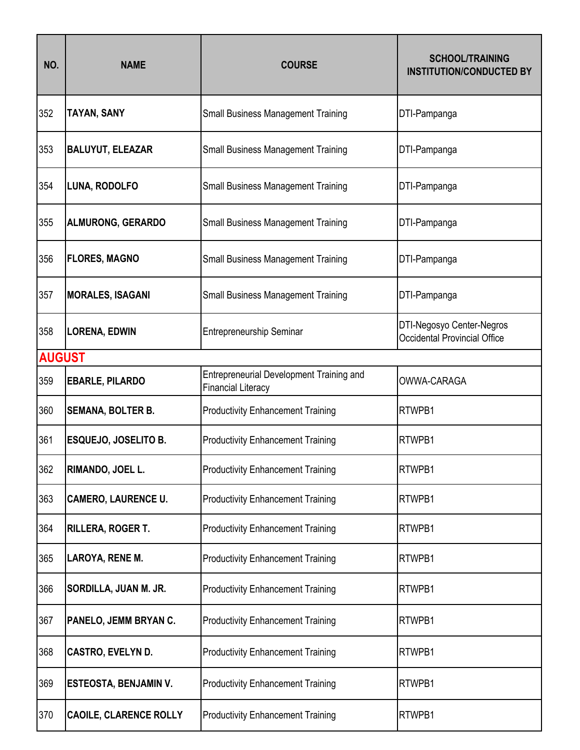| NO.           | <b>NAME</b>                   | <b>COURSE</b>                                                                | <b>SCHOOL/TRAINING</b><br><b>INSTITUTION/CONDUCTED BY</b>        |
|---------------|-------------------------------|------------------------------------------------------------------------------|------------------------------------------------------------------|
| 352           | <b>TAYAN, SANY</b>            | <b>Small Business Management Training</b>                                    | DTI-Pampanga                                                     |
| 353           | <b>BALUYUT, ELEAZAR</b>       | <b>Small Business Management Training</b>                                    | DTI-Pampanga                                                     |
| 354           | LUNA, RODOLFO                 | <b>Small Business Management Training</b>                                    | DTI-Pampanga                                                     |
| 355           | <b>ALMURONG, GERARDO</b>      | <b>Small Business Management Training</b>                                    | DTI-Pampanga                                                     |
| 356           | <b>FLORES, MAGNO</b>          | <b>Small Business Management Training</b>                                    | DTI-Pampanga                                                     |
| 357           | <b>MORALES, ISAGANI</b>       | <b>Small Business Management Training</b>                                    | DTI-Pampanga                                                     |
| 358           | <b>LORENA, EDWIN</b>          | Entrepreneurship Seminar                                                     | DTI-Negosyo Center-Negros<br><b>Occidental Provincial Office</b> |
| <b>AUGUST</b> |                               |                                                                              |                                                                  |
| 359           | <b>EBARLE, PILARDO</b>        | <b>Entrepreneurial Development Training and</b><br><b>Financial Literacy</b> | OWWA-CARAGA                                                      |
| 360           | <b>SEMANA, BOLTER B.</b>      | <b>Productivity Enhancement Training</b>                                     | RTWPB1                                                           |
| 361           | <b>ESQUEJO, JOSELITO B.</b>   | <b>Productivity Enhancement Training</b>                                     | RTWPB1                                                           |
| 362           | RIMANDO, JOEL L.              | <b>Productivity Enhancement Training</b>                                     | RTWPB1                                                           |
| 363           | <b>CAMERO, LAURENCE U.</b>    | <b>Productivity Enhancement Training</b>                                     | RTWPB1                                                           |
| 364           | RILLERA, ROGER T.             | <b>Productivity Enhancement Training</b>                                     | RTWPB1                                                           |
| 365           | LAROYA, RENE M.               | <b>Productivity Enhancement Training</b>                                     | RTWPB1                                                           |
| 366           | SORDILLA, JUAN M. JR.         | <b>Productivity Enhancement Training</b>                                     | RTWPB1                                                           |
| 367           | PANELO, JEMM BRYAN C.         | <b>Productivity Enhancement Training</b>                                     | RTWPB1                                                           |
| 368           | CASTRO, EVELYN D.             | <b>Productivity Enhancement Training</b>                                     | RTWPB1                                                           |
| 369           | <b>ESTEOSTA, BENJAMIN V.</b>  | <b>Productivity Enhancement Training</b>                                     | RTWPB1                                                           |
| 370           | <b>CAOILE, CLARENCE ROLLY</b> | <b>Productivity Enhancement Training</b>                                     | RTWPB1                                                           |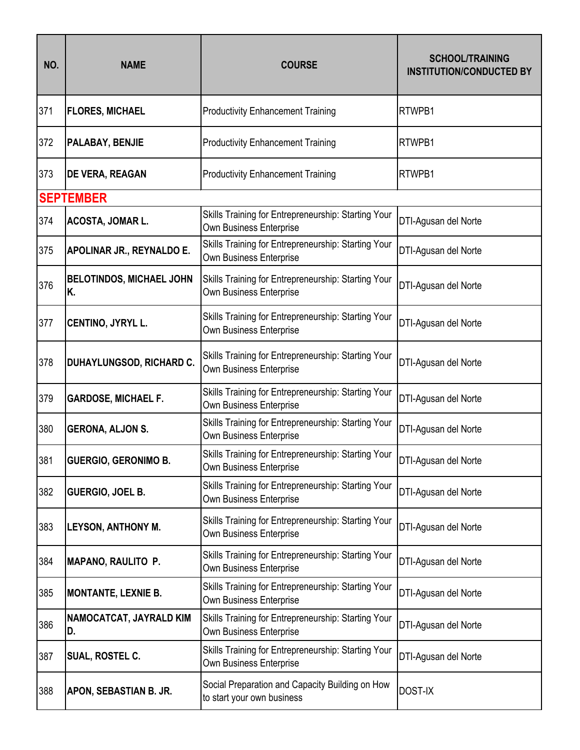| NO. | <b>NAME</b>                           | <b>COURSE</b>                                                                         | <b>SCHOOL/TRAINING</b><br><b>INSTITUTION/CONDUCTED BY</b> |
|-----|---------------------------------------|---------------------------------------------------------------------------------------|-----------------------------------------------------------|
| 371 | <b>FLORES, MICHAEL</b>                | <b>Productivity Enhancement Training</b>                                              | RTWPB1                                                    |
| 372 | PALABAY, BENJIE                       | <b>Productivity Enhancement Training</b>                                              | RTWPB1                                                    |
| 373 | <b>DE VERA, REAGAN</b>                | <b>Productivity Enhancement Training</b>                                              | RTWPB1                                                    |
|     | <b>SEPTEMBER</b>                      |                                                                                       |                                                           |
| 374 | ACOSTA, JOMAR L.                      | Skills Training for Entrepreneurship: Starting Your<br>Own Business Enterprise        | DTI-Agusan del Norte                                      |
| 375 | APOLINAR JR., REYNALDO E.             | Skills Training for Entrepreneurship: Starting Your<br>Own Business Enterprise        | DTI-Agusan del Norte                                      |
| 376 | <b>BELOTINDOS, MICHAEL JOHN</b><br>Κ. | Skills Training for Entrepreneurship: Starting Your<br>Own Business Enterprise        | DTI-Agusan del Norte                                      |
| 377 | CENTINO, JYRYL L.                     | Skills Training for Entrepreneurship: Starting Your<br>Own Business Enterprise        | DTI-Agusan del Norte                                      |
| 378 | DUHAYLUNGSOD, RICHARD C.              | Skills Training for Entrepreneurship: Starting Your<br>Own Business Enterprise        | DTI-Agusan del Norte                                      |
| 379 | <b>GARDOSE, MICHAEL F.</b>            | Skills Training for Entrepreneurship: Starting Your<br>Own Business Enterprise        | DTI-Agusan del Norte                                      |
| 380 | <b>GERONA, ALJON S.</b>               | Skills Training for Entrepreneurship: Starting Your<br>Own Business Enterprise        | DTI-Agusan del Norte                                      |
| 381 | <b>GUERGIO, GERONIMO B.</b>           | Skills Training for Entrepreneurship: Starting Your<br><b>Own Business Enterprise</b> | DTI-Agusan del Norte                                      |
| 382 | GUERGIO, JOEL B.                      | Skills Training for Entrepreneurship: Starting Your<br>Own Business Enterprise        | DTI-Agusan del Norte                                      |
| 383 | <b>LEYSON, ANTHONY M.</b>             | Skills Training for Entrepreneurship: Starting Your<br>Own Business Enterprise        | DTI-Agusan del Norte                                      |
| 384 | <b>MAPANO, RAULITO P.</b>             | Skills Training for Entrepreneurship: Starting Your<br>Own Business Enterprise        | DTI-Agusan del Norte                                      |
| 385 | <b>MONTANTE, LEXNIE B.</b>            | Skills Training for Entrepreneurship: Starting Your<br>Own Business Enterprise        | DTI-Agusan del Norte                                      |
| 386 | NAMOCATCAT, JAYRALD KIM<br>D.         | Skills Training for Entrepreneurship: Starting Your<br>Own Business Enterprise        | DTI-Agusan del Norte                                      |
| 387 | SUAL, ROSTEL C.                       | Skills Training for Entrepreneurship: Starting Your<br>Own Business Enterprise        | DTI-Agusan del Norte                                      |
| 388 | APON, SEBASTIAN B. JR.                | Social Preparation and Capacity Building on How<br>to start your own business         | <b>DOST-IX</b>                                            |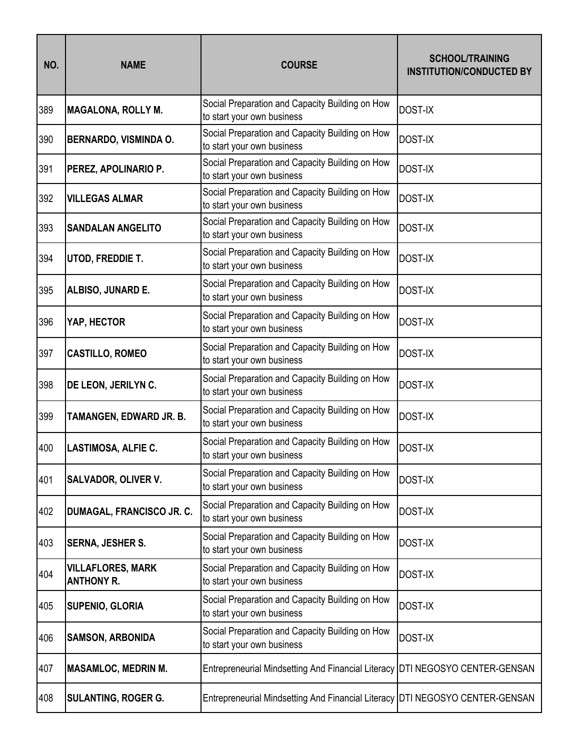| NO. | <b>NAME</b>                                   | <b>COURSE</b>                                                                  | <b>SCHOOL/TRAINING</b><br><b>INSTITUTION/CONDUCTED BY</b> |
|-----|-----------------------------------------------|--------------------------------------------------------------------------------|-----------------------------------------------------------|
| 389 | <b>MAGALONA, ROLLY M.</b>                     | Social Preparation and Capacity Building on How<br>to start your own business  | <b>DOST-IX</b>                                            |
| 390 | <b>BERNARDO, VISMINDA O.</b>                  | Social Preparation and Capacity Building on How<br>to start your own business  | <b>DOST-IX</b>                                            |
| 391 | PEREZ, APOLINARIO P.                          | Social Preparation and Capacity Building on How<br>to start your own business  | <b>DOST-IX</b>                                            |
| 392 | <b>VILLEGAS ALMAR</b>                         | Social Preparation and Capacity Building on How<br>to start your own business  | <b>DOST-IX</b>                                            |
| 393 | <b>SANDALAN ANGELITO</b>                      | Social Preparation and Capacity Building on How<br>to start your own business  | <b>DOST-IX</b>                                            |
| 394 | UTOD, FREDDIE T.                              | Social Preparation and Capacity Building on How<br>to start your own business  | <b>DOST-IX</b>                                            |
| 395 | ALBISO, JUNARD E.                             | Social Preparation and Capacity Building on How<br>to start your own business  | <b>DOST-IX</b>                                            |
| 396 | YAP, HECTOR                                   | Social Preparation and Capacity Building on How<br>to start your own business  | <b>DOST-IX</b>                                            |
| 397 | <b>CASTILLO, ROMEO</b>                        | Social Preparation and Capacity Building on How<br>to start your own business  | <b>DOST-IX</b>                                            |
| 398 | DE LEON, JERILYN C.                           | Social Preparation and Capacity Building on How<br>to start your own business  | <b>DOST-IX</b>                                            |
| 399 | TAMANGEN, EDWARD JR. B.                       | Social Preparation and Capacity Building on How<br>to start your own business  | <b>DOST-IX</b>                                            |
| 400 | <b>LASTIMOSA, ALFIE C.</b>                    | Social Preparation and Capacity Building on How<br>to start your own business  | <b>DOST-IX</b>                                            |
| 401 | <b>SALVADOR, OLIVER V.</b>                    | Social Preparation and Capacity Building on How<br>to start your own business  | <b>DOST-IX</b>                                            |
| 402 | DUMAGAL, FRANCISCO JR. C.                     | Social Preparation and Capacity Building on How<br>to start your own business  | <b>DOST-IX</b>                                            |
| 403 | <b>SERNA, JESHER S.</b>                       | Social Preparation and Capacity Building on How<br>to start your own business  | <b>DOST-IX</b>                                            |
| 404 | <b>VILLAFLORES, MARK</b><br><b>ANTHONY R.</b> | Social Preparation and Capacity Building on How<br>to start your own business  | <b>DOST-IX</b>                                            |
| 405 | <b>SUPENIO, GLORIA</b>                        | Social Preparation and Capacity Building on How<br>to start your own business  | <b>DOST-IX</b>                                            |
| 406 | <b>SAMSON, ARBONIDA</b>                       | Social Preparation and Capacity Building on How<br>to start your own business  | <b>DOST-IX</b>                                            |
| 407 | <b>MASAMLOC, MEDRIN M.</b>                    | Entrepreneurial Mindsetting And Financial Literacy   DTI NEGOSYO CENTER-GENSAN |                                                           |
| 408 | <b>SULANTING, ROGER G.</b>                    | Entrepreneurial Mindsetting And Financial Literacy DTI NEGOSYO CENTER-GENSAN   |                                                           |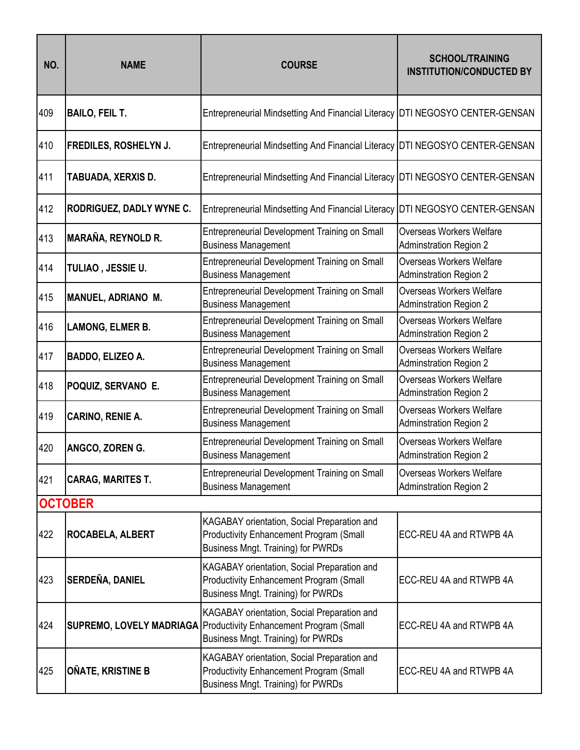| NO. | <b>NAME</b>                  | <b>COURSE</b>                                                                                                                              | <b>SCHOOL/TRAINING</b><br><b>INSTITUTION/CONDUCTED BY</b>        |
|-----|------------------------------|--------------------------------------------------------------------------------------------------------------------------------------------|------------------------------------------------------------------|
| 409 | <b>BAILO, FEIL T.</b>        | Entrepreneurial Mindsetting And Financial Literacy DTI NEGOSYO CENTER-GENSAN                                                               |                                                                  |
| 410 | <b>FREDILES, ROSHELYN J.</b> | Entrepreneurial Mindsetting And Financial Literacy   DTI NEGOSYO CENTER-GENSAN                                                             |                                                                  |
| 411 | TABUADA, XERXIS D.           | Entrepreneurial Mindsetting And Financial Literacy DTI NEGOSYO CENTER-GENSAN                                                               |                                                                  |
| 412 | RODRIGUEZ, DADLY WYNE C.     | Entrepreneurial Mindsetting And Financial Literacy DTI NEGOSYO CENTER-GENSAN                                                               |                                                                  |
| 413 | <b>MARAÑA, REYNOLD R.</b>    | Entrepreneurial Development Training on Small<br><b>Business Management</b>                                                                | <b>Overseas Workers Welfare</b><br><b>Adminstration Region 2</b> |
| 414 | TULIAO, JESSIE U.            | Entrepreneurial Development Training on Small<br><b>Business Management</b>                                                                | <b>Overseas Workers Welfare</b><br><b>Adminstration Region 2</b> |
| 415 | <b>MANUEL, ADRIANO M.</b>    | Entrepreneurial Development Training on Small<br><b>Business Management</b>                                                                | Overseas Workers Welfare<br><b>Adminstration Region 2</b>        |
| 416 | <b>LAMONG, ELMER B.</b>      | Entrepreneurial Development Training on Small<br><b>Business Management</b>                                                                | <b>Overseas Workers Welfare</b><br><b>Adminstration Region 2</b> |
| 417 | BADDO, ELIZEO A.             | Entrepreneurial Development Training on Small<br><b>Business Management</b>                                                                | Overseas Workers Welfare<br><b>Adminstration Region 2</b>        |
| 418 | POQUIZ, SERVANO E.           | Entrepreneurial Development Training on Small<br><b>Business Management</b>                                                                | Overseas Workers Welfare<br>Adminstration Region 2               |
| 419 | CARINO, RENIE A.             | Entrepreneurial Development Training on Small<br><b>Business Management</b>                                                                | <b>Overseas Workers Welfare</b><br><b>Adminstration Region 2</b> |
| 420 | ANGCO, ZOREN G.              | Entrepreneurial Development Training on Small<br><b>Business Management</b>                                                                | <b>Overseas Workers Welfare</b><br><b>Adminstration Region 2</b> |
| 421 | <b>CARAG, MARITES T.</b>     | Entrepreneurial Development Training on Small<br><b>Business Management</b>                                                                | Overseas Workers Welfare<br><b>Adminstration Region 2</b>        |
|     | <b>OCTOBER</b>               |                                                                                                                                            |                                                                  |
| 422 | <b>ROCABELA, ALBERT</b>      | KAGABAY orientation, Social Preparation and<br><b>Productivity Enhancement Program (Small</b><br><b>Business Mngt. Training) for PWRDs</b> | ECC-REU 4A and RTWPB 4A                                          |
| 423 | <b>SERDEÑA, DANIEL</b>       | KAGABAY orientation, Social Preparation and<br><b>Productivity Enhancement Program (Small</b><br><b>Business Mngt. Training) for PWRDs</b> | ECC-REU 4A and RTWPB 4A                                          |
| 424 | SUPREMO, LOVELY MADRIAGA     | KAGABAY orientation, Social Preparation and<br><b>Productivity Enhancement Program (Small</b><br><b>Business Mngt. Training) for PWRDs</b> | ECC-REU 4A and RTWPB 4A                                          |
| 425 | OÑATE, KRISTINE B            | KAGABAY orientation, Social Preparation and<br><b>Productivity Enhancement Program (Small</b><br><b>Business Mngt. Training) for PWRDs</b> | ECC-REU 4A and RTWPB 4A                                          |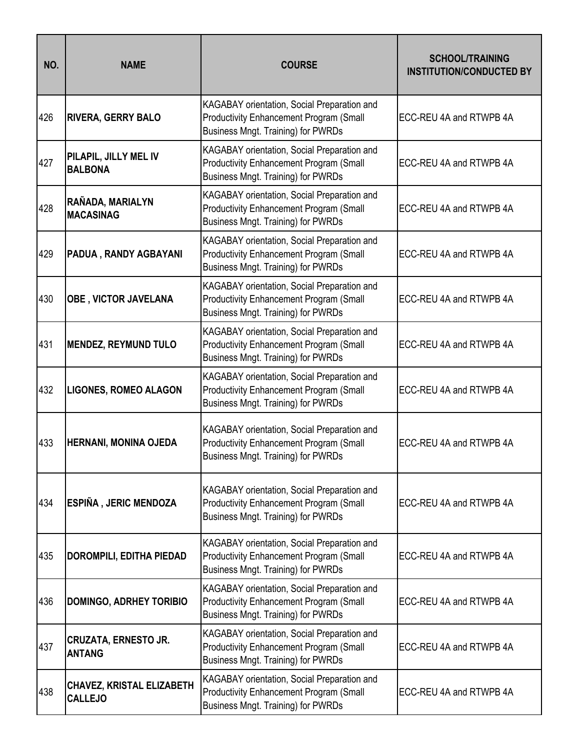| NO. | <b>NAME</b>                                        | <b>COURSE</b>                                                                                                                              | <b>SCHOOL/TRAINING</b><br><b>INSTITUTION/CONDUCTED BY</b> |
|-----|----------------------------------------------------|--------------------------------------------------------------------------------------------------------------------------------------------|-----------------------------------------------------------|
| 426 | <b>RIVERA, GERRY BALO</b>                          | KAGABAY orientation, Social Preparation and<br><b>Productivity Enhancement Program (Small</b><br><b>Business Mngt. Training) for PWRDs</b> | ECC-REU 4A and RTWPB 4A                                   |
| 427 | PILAPIL, JILLY MEL IV<br><b>BALBONA</b>            | KAGABAY orientation, Social Preparation and<br><b>Productivity Enhancement Program (Small</b><br><b>Business Mngt. Training) for PWRDs</b> | ECC-REU 4A and RTWPB 4A                                   |
| 428 | RAÑADA, MARIALYN<br><b>MACASINAG</b>               | KAGABAY orientation, Social Preparation and<br><b>Productivity Enhancement Program (Small</b><br><b>Business Mngt. Training) for PWRDs</b> | ECC-REU 4A and RTWPB 4A                                   |
| 429 | PADUA, RANDY AGBAYANI                              | KAGABAY orientation, Social Preparation and<br><b>Productivity Enhancement Program (Small</b><br><b>Business Mngt. Training) for PWRDs</b> | ECC-REU 4A and RTWPB 4A                                   |
| 430 | OBE, VICTOR JAVELANA                               | KAGABAY orientation, Social Preparation and<br><b>Productivity Enhancement Program (Small</b><br><b>Business Mngt. Training) for PWRDs</b> | ECC-REU 4A and RTWPB 4A                                   |
| 431 | <b>MENDEZ, REYMUND TULO</b>                        | KAGABAY orientation, Social Preparation and<br><b>Productivity Enhancement Program (Small</b><br><b>Business Mngt. Training) for PWRDs</b> | ECC-REU 4A and RTWPB 4A                                   |
| 432 | <b>LIGONES, ROMEO ALAGON</b>                       | KAGABAY orientation, Social Preparation and<br>Productivity Enhancement Program (Small<br><b>Business Mngt. Training) for PWRDs</b>        | ECC-REU 4A and RTWPB 4A                                   |
| 433 | <b>HERNANI, MONINA OJEDA</b>                       | KAGABAY orientation, Social Preparation and<br><b>Productivity Enhancement Program (Small</b><br><b>Business Mngt. Training) for PWRDs</b> | ECC-REU 4A and RTWPB 4A                                   |
| 434 | ESPIÑA, JERIC MENDOZA                              | KAGABAY orientation, Social Preparation and<br><b>Productivity Enhancement Program (Small</b><br><b>Business Mngt. Training) for PWRDs</b> | ECC-REU 4A and RTWPB 4A                                   |
| 435 | <b>DOROMPILI, EDITHA PIEDAD</b>                    | KAGABAY orientation, Social Preparation and<br><b>Productivity Enhancement Program (Small</b><br><b>Business Mngt. Training) for PWRDs</b> | ECC-REU 4A and RTWPB 4A                                   |
| 436 | <b>DOMINGO, ADRHEY TORIBIO</b>                     | KAGABAY orientation, Social Preparation and<br><b>Productivity Enhancement Program (Small</b><br><b>Business Mngt. Training) for PWRDs</b> | ECC-REU 4A and RTWPB 4A                                   |
| 437 | <b>CRUZATA, ERNESTO JR.</b><br><b>ANTANG</b>       | KAGABAY orientation, Social Preparation and<br><b>Productivity Enhancement Program (Small</b><br><b>Business Mngt. Training) for PWRDs</b> | ECC-REU 4A and RTWPB 4A                                   |
| 438 | <b>CHAVEZ, KRISTAL ELIZABETH</b><br><b>CALLEJO</b> | KAGABAY orientation, Social Preparation and<br>Productivity Enhancement Program (Small<br><b>Business Mngt. Training) for PWRDs</b>        | ECC-REU 4A and RTWPB 4A                                   |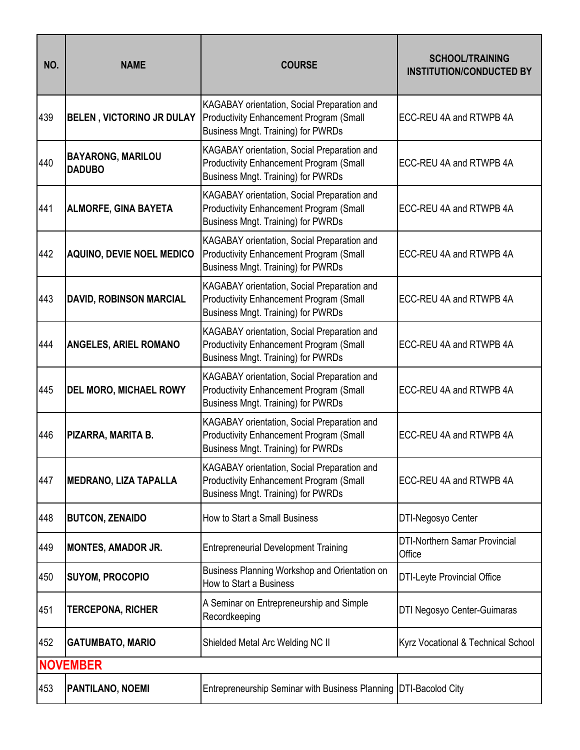| NO. | <b>NAME</b>                               | <b>COURSE</b>                                                                                                                              | <b>SCHOOL/TRAINING</b><br><b>INSTITUTION/CONDUCTED BY</b> |
|-----|-------------------------------------------|--------------------------------------------------------------------------------------------------------------------------------------------|-----------------------------------------------------------|
| 439 | <b>BELEN, VICTORINO JR DULAY</b>          | KAGABAY orientation, Social Preparation and<br><b>Productivity Enhancement Program (Small</b><br><b>Business Mngt. Training) for PWRDs</b> | ECC-REU 4A and RTWPB 4A                                   |
| 440 | <b>BAYARONG, MARILOU</b><br><b>DADUBO</b> | KAGABAY orientation, Social Preparation and<br><b>Productivity Enhancement Program (Small</b><br><b>Business Mngt. Training) for PWRDs</b> | ECC-REU 4A and RTWPB 4A                                   |
| 441 | <b>ALMORFE, GINA BAYETA</b>               | KAGABAY orientation, Social Preparation and<br><b>Productivity Enhancement Program (Small</b><br><b>Business Mngt. Training) for PWRDs</b> | ECC-REU 4A and RTWPB 4A                                   |
| 442 | <b>AQUINO, DEVIE NOEL MEDICO</b>          | KAGABAY orientation, Social Preparation and<br><b>Productivity Enhancement Program (Small</b><br>Business Mngt. Training) for PWRDs        | ECC-REU 4A and RTWPB 4A                                   |
| 443 | <b>DAVID, ROBINSON MARCIAL</b>            | KAGABAY orientation, Social Preparation and<br><b>Productivity Enhancement Program (Small</b><br><b>Business Mngt. Training) for PWRDs</b> | ECC-REU 4A and RTWPB 4A                                   |
| 444 | <b>ANGELES, ARIEL ROMANO</b>              | KAGABAY orientation, Social Preparation and<br><b>Productivity Enhancement Program (Small</b><br><b>Business Mngt. Training) for PWRDs</b> | ECC-REU 4A and RTWPB 4A                                   |
| 445 | <b>DEL MORO, MICHAEL ROWY</b>             | KAGABAY orientation, Social Preparation and<br><b>Productivity Enhancement Program (Small</b><br><b>Business Mngt. Training) for PWRDs</b> | ECC-REU 4A and RTWPB 4A                                   |
| 446 | PIZARRA, MARITA B.                        | KAGABAY orientation, Social Preparation and<br><b>Productivity Enhancement Program (Small</b><br>Business Mngt. Training) for PWRDs        | ECC-REU 4A and RTWPB 4A                                   |
| 447 | <b>MEDRANO, LIZA TAPALLA</b>              | KAGABAY orientation, Social Preparation and<br><b>Productivity Enhancement Program (Small</b><br><b>Business Mngt. Training) for PWRDs</b> | ECC-REU 4A and RTWPB 4A                                   |
| 448 | <b>BUTCON, ZENAIDO</b>                    | How to Start a Small Business                                                                                                              | DTI-Negosyo Center                                        |
| 449 | <b>MONTES, AMADOR JR.</b>                 | <b>Entrepreneurial Development Training</b>                                                                                                | <b>DTI-Northern Samar Provincial</b><br>Office            |
| 450 | <b>SUYOM, PROCOPIO</b>                    | Business Planning Workshop and Orientation on<br>How to Start a Business                                                                   | <b>DTI-Leyte Provincial Office</b>                        |
| 451 | <b>TERCEPONA, RICHER</b>                  | A Seminar on Entrepreneurship and Simple<br>Recordkeeping                                                                                  | DTI Negosyo Center-Guimaras                               |
| 452 | <b>GATUMBATO, MARIO</b>                   | Shielded Metal Arc Welding NC II                                                                                                           | Kyrz Vocational & Technical School                        |
|     | <b>NOVEMBER</b>                           |                                                                                                                                            |                                                           |
| 453 | PANTILANO, NOEMI                          | Entrepreneurship Seminar with Business Planning DTI-Bacolod City                                                                           |                                                           |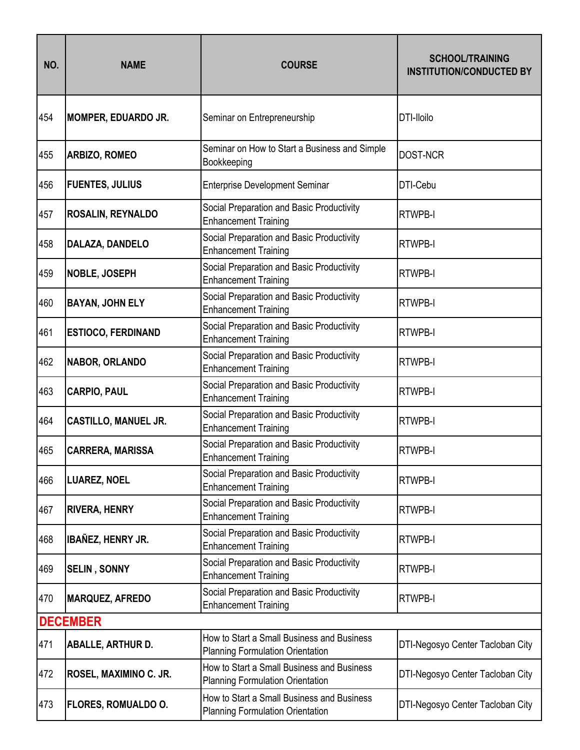| NO. | <b>NAME</b>                 | <b>COURSE</b>                                                                         | <b>SCHOOL/TRAINING</b><br><b>INSTITUTION/CONDUCTED BY</b> |
|-----|-----------------------------|---------------------------------------------------------------------------------------|-----------------------------------------------------------|
| 454 | <b>MOMPER, EDUARDO JR.</b>  | Seminar on Entrepreneurship                                                           | DTI-lloilo                                                |
| 455 | <b>ARBIZO, ROMEO</b>        | Seminar on How to Start a Business and Simple<br>Bookkeeping                          | <b>DOST-NCR</b>                                           |
| 456 | <b>FUENTES, JULIUS</b>      | <b>Enterprise Development Seminar</b>                                                 | DTI-Cebu                                                  |
| 457 | <b>ROSALIN, REYNALDO</b>    | Social Preparation and Basic Productivity<br><b>Enhancement Training</b>              | <b>RTWPB-I</b>                                            |
| 458 | DALAZA, DANDELO             | Social Preparation and Basic Productivity<br><b>Enhancement Training</b>              | <b>RTWPB-I</b>                                            |
| 459 | <b>NOBLE, JOSEPH</b>        | Social Preparation and Basic Productivity<br><b>Enhancement Training</b>              | <b>RTWPB-I</b>                                            |
| 460 | <b>BAYAN, JOHN ELY</b>      | Social Preparation and Basic Productivity<br><b>Enhancement Training</b>              | <b>RTWPB-I</b>                                            |
| 461 | <b>ESTIOCO, FERDINAND</b>   | Social Preparation and Basic Productivity<br><b>Enhancement Training</b>              | <b>RTWPB-I</b>                                            |
| 462 | <b>NABOR, ORLANDO</b>       | Social Preparation and Basic Productivity<br><b>Enhancement Training</b>              | <b>RTWPB-I</b>                                            |
| 463 | <b>CARPIO, PAUL</b>         | Social Preparation and Basic Productivity<br><b>Enhancement Training</b>              | <b>RTWPB-I</b>                                            |
| 464 | <b>CASTILLO, MANUEL JR.</b> | Social Preparation and Basic Productivity<br><b>Enhancement Training</b>              | <b>RTWPB-I</b>                                            |
| 465 | <b>CARRERA, MARISSA</b>     | Social Preparation and Basic Productivity<br><b>Enhancement Training</b>              | <b>RTWPB-I</b>                                            |
| 466 | <b>LUAREZ, NOEL</b>         | Social Preparation and Basic Productivity<br><b>Enhancement Training</b>              | <b>RTWPB-I</b>                                            |
| 467 | <b>RIVERA, HENRY</b>        | Social Preparation and Basic Productivity<br><b>Enhancement Training</b>              | <b>RTWPB-I</b>                                            |
| 468 | <b>IBAÑEZ, HENRY JR.</b>    | Social Preparation and Basic Productivity<br><b>Enhancement Training</b>              | <b>RTWPB-I</b>                                            |
| 469 | <b>SELIN, SONNY</b>         | Social Preparation and Basic Productivity<br><b>Enhancement Training</b>              | <b>RTWPB-I</b>                                            |
| 470 | <b>MARQUEZ, AFREDO</b>      | Social Preparation and Basic Productivity<br><b>Enhancement Training</b>              | <b>RTWPB-I</b>                                            |
|     | <b>DECEMBER</b>             |                                                                                       |                                                           |
| 471 | <b>ABALLE, ARTHUR D.</b>    | How to Start a Small Business and Business<br><b>Planning Formulation Orientation</b> | DTI-Negosyo Center Tacloban City                          |
| 472 | ROSEL, MAXIMINO C. JR.      | How to Start a Small Business and Business<br><b>Planning Formulation Orientation</b> | DTI-Negosyo Center Tacloban City                          |
| 473 | FLORES, ROMUALDO O.         | How to Start a Small Business and Business<br><b>Planning Formulation Orientation</b> | DTI-Negosyo Center Tacloban City                          |